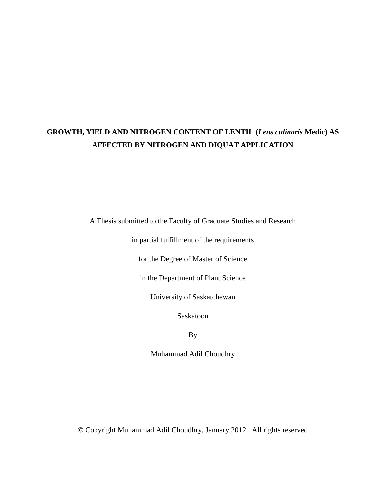# **GROWTH, YIELD AND NITROGEN CONTENT OF LENTIL (***Lens culinaris* **Medic) AS AFFECTED BY NITROGEN AND DIQUAT APPLICATION**

A Thesis submitted to the Faculty of Graduate Studies and Research

in partial fulfillment of the requirements

for the Degree of Master of Science

in the Department of Plant Science

University of Saskatchewan

Saskatoon

By

Muhammad Adil Choudhry

© Copyright Muhammad Adil Choudhry, January 2012. All rights reserved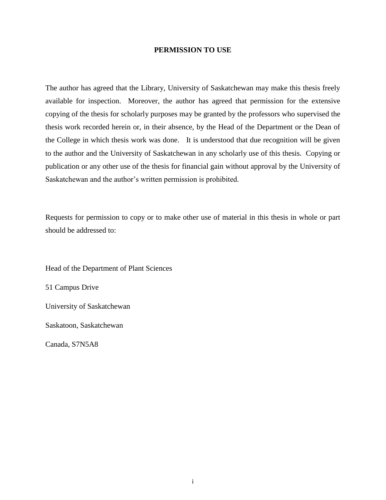#### **PERMISSION TO USE**

The author has agreed that the Library, University of Saskatchewan may make this thesis freely available for inspection. Moreover, the author has agreed that permission for the extensive copying of the thesis for scholarly purposes may be granted by the professors who supervised the thesis work recorded herein or, in their absence, by the Head of the Department or the Dean of the College in which thesis work was done. It is understood that due recognition will be given to the author and the University of Saskatchewan in any scholarly use of this thesis. Copying or publication or any other use of the thesis for financial gain without approval by the University of Saskatchewan and the author's written permission is prohibited.

Requests for permission to copy or to make other use of material in this thesis in whole or part should be addressed to:

Head of the Department of Plant Sciences 51 Campus Drive University of Saskatchewan Saskatoon, Saskatchewan

Canada, S7N5A8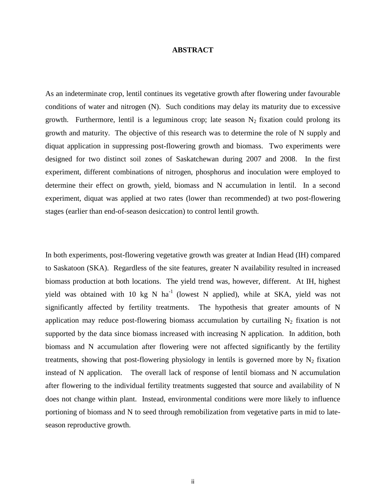### **ABSTRACT**

As an indeterminate crop, lentil continues its vegetative growth after flowering under favourable conditions of water and nitrogen (N). Such conditions may delay its maturity due to excessive growth. Furthermore, lentil is a leguminous crop; late season  $N_2$  fixation could prolong its growth and maturity. The objective of this research was to determine the role of N supply and diquat application in suppressing post-flowering growth and biomass. Two experiments were designed for two distinct soil zones of Saskatchewan during 2007 and 2008. In the first experiment, different combinations of nitrogen, phosphorus and inoculation were employed to determine their effect on growth, yield, biomass and N accumulation in lentil. In a second experiment, diquat was applied at two rates (lower than recommended) at two post-flowering stages (earlier than end-of-season desiccation) to control lentil growth.

In both experiments, post-flowering vegetative growth was greater at Indian Head (IH) compared to Saskatoon (SKA). Regardless of the site features, greater N availability resulted in increased biomass production at both locations. The yield trend was, however, different. At IH, highest yield was obtained with 10 kg N  $ha^{-1}$  (lowest N applied), while at SKA, yield was not significantly affected by fertility treatments. The hypothesis that greater amounts of N application may reduce post-flowering biomass accumulation by curtailing  $N_2$  fixation is not supported by the data since biomass increased with increasing N application. In addition, both biomass and N accumulation after flowering were not affected significantly by the fertility treatments, showing that post-flowering physiology in lentils is governed more by  $N_2$  fixation instead of N application. The overall lack of response of lentil biomass and N accumulation after flowering to the individual fertility treatments suggested that source and availability of N does not change within plant. Instead, environmental conditions were more likely to influence portioning of biomass and N to seed through remobilization from vegetative parts in mid to lateseason reproductive growth.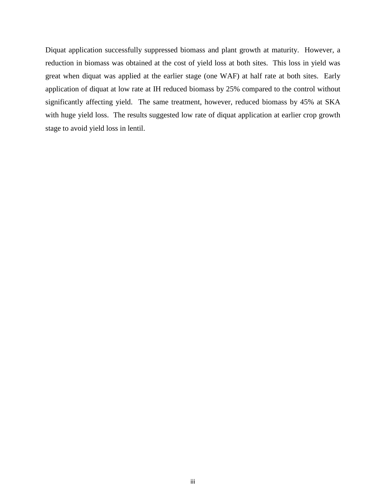Diquat application successfully suppressed biomass and plant growth at maturity. However, a reduction in biomass was obtained at the cost of yield loss at both sites. This loss in yield was great when diquat was applied at the earlier stage (one WAF) at half rate at both sites. Early application of diquat at low rate at IH reduced biomass by 25% compared to the control without significantly affecting yield. The same treatment, however, reduced biomass by 45% at SKA with huge yield loss. The results suggested low rate of diquat application at earlier crop growth stage to avoid yield loss in lentil.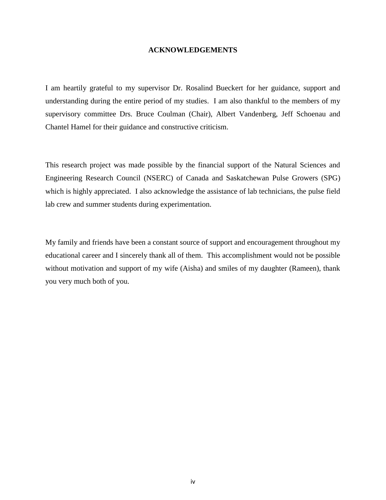#### **ACKNOWLEDGEMENTS**

I am heartily grateful to my supervisor Dr. Rosalind Bueckert for her guidance, support and understanding during the entire period of my studies. I am also thankful to the members of my supervisory committee Drs. Bruce Coulman (Chair), Albert Vandenberg, Jeff Schoenau and Chantel Hamel for their guidance and constructive criticism.

This research project was made possible by the financial support of the Natural Sciences and Engineering Research Council (NSERC) of Canada and Saskatchewan Pulse Growers (SPG) which is highly appreciated. I also acknowledge the assistance of lab technicians, the pulse field lab crew and summer students during experimentation.

My family and friends have been a constant source of support and encouragement throughout my educational career and I sincerely thank all of them. This accomplishment would not be possible without motivation and support of my wife (Aisha) and smiles of my daughter (Rameen), thank you very much both of you.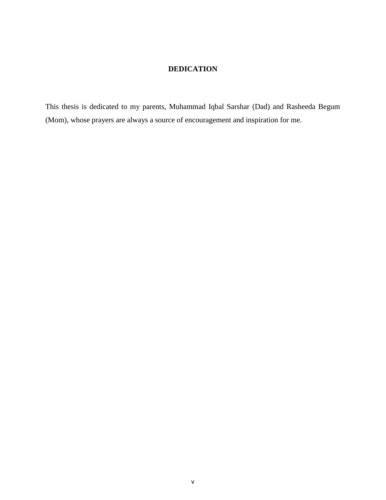# **DEDICATION**

This thesis is dedicated to my parents, Muhammad Iqbal Sarshar (Dad) and Rasheeda Begum (Mom), whose prayers are always a source of encouragement and inspiration for me.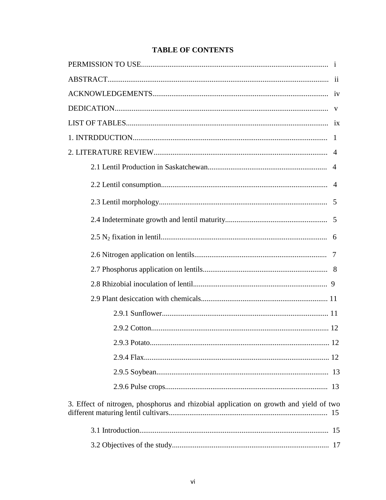| 3. Effect of nitrogen, phosphorus and rhizobial application on growth and yield of two | 15 |
|----------------------------------------------------------------------------------------|----|
|                                                                                        |    |

# **TABLE OF CONTENTS**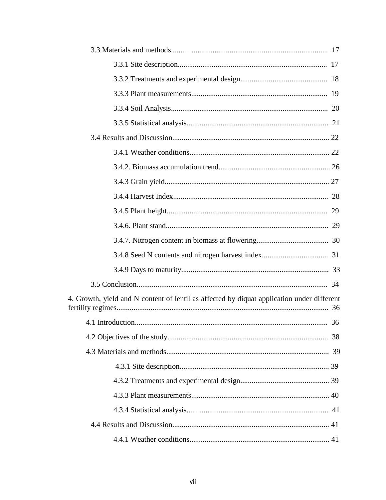| 4. Growth, yield and N content of lentil as affected by diquat application under different |  |
|--------------------------------------------------------------------------------------------|--|
|                                                                                            |  |
|                                                                                            |  |
|                                                                                            |  |
|                                                                                            |  |
|                                                                                            |  |
|                                                                                            |  |
|                                                                                            |  |
|                                                                                            |  |
|                                                                                            |  |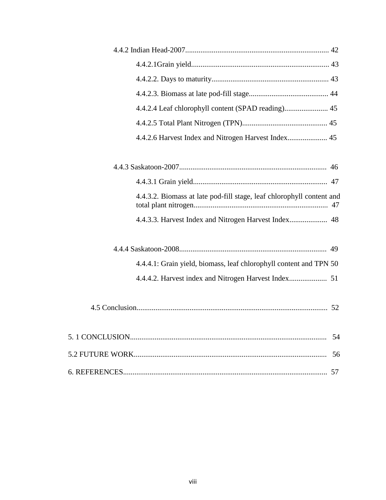| 4.4.3.2. Biomass at late pod-fill stage, leaf chlorophyll content and |
|-----------------------------------------------------------------------|
|                                                                       |
|                                                                       |
| 4.4.4.1: Grain yield, biomass, leaf chlorophyll content and TPN 50    |
|                                                                       |
|                                                                       |
| 54                                                                    |
| 56                                                                    |
| 57                                                                    |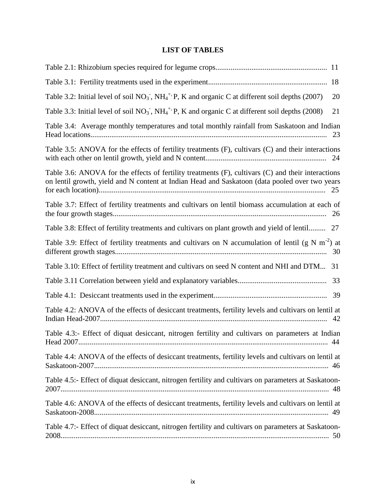# **LIST OF TABLES**

| Table 3.2: Initial level of soil $NO_3$ , $NH_4^+$ , P, K and organic C at different soil depths (2007)<br>20                                                                                        |
|------------------------------------------------------------------------------------------------------------------------------------------------------------------------------------------------------|
| Table 3.3: Initial level of soil $NO_3^-$ , $NH_4^+$ P, K and organic C at different soil depths (2008)<br>21                                                                                        |
| Table 3.4: Average monthly temperatures and total monthly rainfall from Saskatoon and Indian<br>23                                                                                                   |
| Table 3.5: ANOVA for the effects of fertility treatments (F), cultivars (C) and their interactions                                                                                                   |
| Table 3.6: ANOVA for the effects of fertility treatments (F), cultivars (C) and their interactions<br>on lentil growth, yield and N content at Indian Head and Saskatoon (data pooled over two years |
| Table 3.7: Effect of fertility treatments and cultivars on lentil biomass accumulation at each of                                                                                                    |
| Table 3.8: Effect of fertility treatments and cultivars on plant growth and yield of lentil 27                                                                                                       |
| Table 3.9: Effect of fertility treatments and cultivars on N accumulation of lentil (g N m <sup>-2</sup> ) at                                                                                        |
| Table 3.10: Effect of fertility treatment and cultivars on seed N content and NHI and DTM<br>31                                                                                                      |
|                                                                                                                                                                                                      |
|                                                                                                                                                                                                      |
| Table 4.2: ANOVA of the effects of desiccant treatments, fertility levels and cultivars on lentil at<br>42                                                                                           |
| Table 4.3:- Effect of diquat desiccant, nitrogen fertility and cultivars on parameters at Indian                                                                                                     |
| Table 4.4: ANOVA of the effects of desiccant treatments, fertility levels and cultivars on lentil at                                                                                                 |
| Table 4.5:- Effect of diquat desiccant, nitrogen fertility and cultivars on parameters at Saskatoon-                                                                                                 |
| Table 4.6: ANOVA of the effects of desiccant treatments, fertility levels and cultivars on lentil at                                                                                                 |
| Table 4.7:- Effect of diquat desiccant, nitrogen fertility and cultivars on parameters at Saskatoon-                                                                                                 |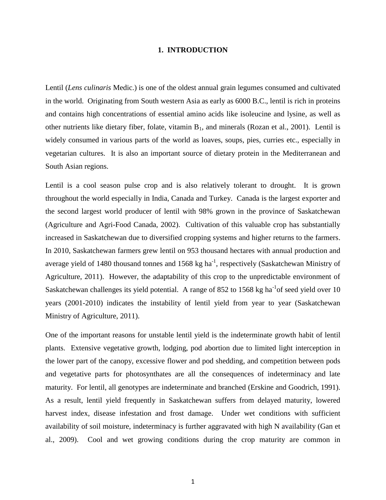#### **1. INTRODUCTION**

Lentil (*Lens culinaris* Medic.) is one of the oldest annual grain legumes consumed and cultivated in the world. Originating from South western Asia as early as 6000 B.C., lentil is rich in proteins and contains high concentrations of essential amino acids like isoleucine and lysine, as well as other nutrients like dietary fiber, folate, vitamin  $B_1$ , and minerals (Rozan et al., 2001). Lentil is widely consumed in various parts of the world as loaves, soups, pies, curries etc., especially in vegetarian cultures. It is also an important source of dietary protein in the Mediterranean and South Asian regions.

Lentil is a cool season pulse crop and is also relatively tolerant to drought. It is grown throughout the world especially in India, Canada and Turkey. Canada is the largest exporter and the second largest world producer of lentil with 98% grown in the province of Saskatchewan (Agriculture and Agri-Food Canada, 2002). Cultivation of this valuable crop has substantially increased in Saskatchewan due to diversified cropping systems and higher returns to the farmers. In 2010, Saskatchewan farmers grew lentil on 953 thousand hectares with annual production and average yield of 1480 thousand tonnes and 1568 kg ha<sup>-1</sup>, respectively (Saskatchewan Ministry of Agriculture, 2011). However, the adaptability of this crop to the unpredictable environment of Saskatchewan challenges its yield potential. A range of 852 to 1568 kg ha<sup>-1</sup> of seed yield over 10 years (2001-2010) indicates the instability of lentil yield from year to year (Saskatchewan Ministry of Agriculture, 2011).

One of the important reasons for unstable lentil yield is the indeterminate growth habit of lentil plants. Extensive vegetative growth, lodging, pod abortion due to limited light interception in the lower part of the canopy, excessive flower and pod shedding, and competition between pods and vegetative parts for photosynthates are all the consequences of indeterminacy and late maturity. For lentil, all genotypes are indeterminate and branched (Erskine and Goodrich, 1991). As a result, lentil yield frequently in Saskatchewan suffers from delayed maturity, lowered harvest index, disease infestation and frost damage. Under wet conditions with sufficient availability of soil moisture, indeterminacy is further aggravated with high N availability (Gan et al., 2009). Cool and wet growing conditions during the crop maturity are common in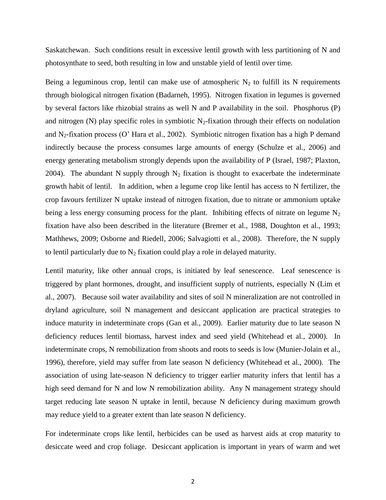Saskatchewan. Such conditions result in excessive lentil growth with less partitioning of N and photosynthate to seed, both resulting in low and unstable yield of lentil over time.

Being a leguminous crop, lentil can make use of atmospheric  $N_2$  to fulfill its N requirements through biological nitrogen fixation (Badarneh, 1995). Nitrogen fixation in legumes is governed by several factors like rhizobial strains as well N and P availability in the soil. Phosphorus (P) and nitrogen (N) play specific roles in symbiotic  $N_2$ -fixation through their effects on nodulation and N2-fixation process (O' Hara et al., 2002). Symbiotic nitrogen fixation has a high P demand indirectly because the process consumes large amounts of energy (Schulze et al., 2006) and energy generating metabolism strongly depends upon the availability of P (Israel, 1987; Plaxton, 2004). The abundant N supply through  $N_2$  fixation is thought to exacerbate the indeterminate growth habit of lentil. In addition, when a legume crop like lentil has access to N fertilizer, the crop favours fertilizer N uptake instead of nitrogen fixation, due to nitrate or ammonium uptake being a less energy consuming process for the plant. Inhibiting effects of nitrate on legume  $N_2$ fixation have also been described in the literature (Bremer et al., 1988, Doughton et al., 1993; Mathhews, 2009; Osborne and Riedell, 2006; Salvagiotti et al., 2008). Therefore, the N supply to lentil particularly due to  $N_2$  fixation could play a role in delayed maturity.

Lentil maturity, like other annual crops, is initiated by leaf senescence. Leaf senescence is triggered by plant hormones, drought, and insufficient supply of nutrients, especially N (Lim et al., 2007). Because soil water availability and sites of soil N mineralization are not controlled in dryland agriculture, soil N management and desiccant application are practical strategies to induce maturity in indeterminate crops (Gan et al., 2009). Earlier maturity due to late season N deficiency reduces lentil biomass, harvest index and seed yield (Whitehead et al., 2000). In indeterminate crops, N remobilization from shoots and roots to seeds is low (Munier-Jolain et al., 1996), therefore, yield may suffer from late season N deficiency (Whitehead et al., 2000). The association of using late-season N deficiency to trigger earlier maturity infers that lentil has a high seed demand for N and low N remobilization ability. Any N management strategy should target reducing late season N uptake in lentil, because N deficiency during maximum growth may reduce yield to a greater extent than late season N deficiency.

For indeterminate crops like lentil, herbicides can be used as harvest aids at crop maturity to desiccate weed and crop foliage. Desiccant application is important in years of warm and wet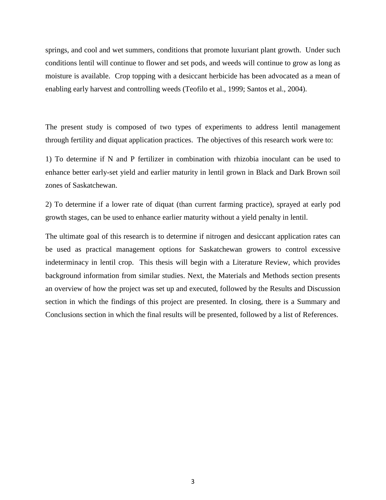springs, and cool and wet summers, conditions that promote luxuriant plant growth. Under such conditions lentil will continue to flower and set pods, and weeds will continue to grow as long as moisture is available. Crop topping with a desiccant herbicide has been advocated as a mean of enabling early harvest and controlling weeds (Teofilo et al., 1999; Santos et al., 2004).

The present study is composed of two types of experiments to address lentil management through fertility and diquat application practices. The objectives of this research work were to:

1) To determine if N and P fertilizer in combination with rhizobia inoculant can be used to enhance better early-set yield and earlier maturity in lentil grown in Black and Dark Brown soil zones of Saskatchewan.

2) To determine if a lower rate of diquat (than current farming practice), sprayed at early pod growth stages, can be used to enhance earlier maturity without a yield penalty in lentil.

The ultimate goal of this research is to determine if nitrogen and desiccant application rates can be used as practical management options for Saskatchewan growers to control excessive indeterminacy in lentil crop. This thesis will begin with a Literature Review, which provides background information from similar studies. Next, the Materials and Methods section presents an overview of how the project was set up and executed, followed by the Results and Discussion section in which the findings of this project are presented. In closing, there is a Summary and Conclusions section in which the final results will be presented, followed by a list of References.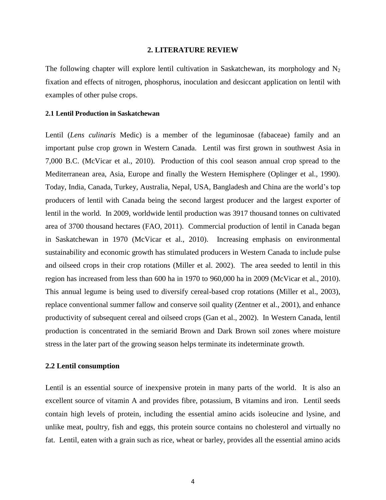#### **2. LITERATURE REVIEW**

The following chapter will explore lentil cultivation in Saskatchewan, its morphology and  $N_2$ fixation and effects of nitrogen, phosphorus, inoculation and desiccant application on lentil with examples of other pulse crops.

### **2.1 Lentil Production in Saskatchewan**

Lentil (*Lens culinaris* Medic) is a member of the leguminosae (fabaceae) family and an important pulse crop grown in Western Canada. Lentil was first grown in southwest Asia in 7,000 B.C. (McVicar et al., 2010). Production of this cool season annual crop spread to the Mediterranean area, Asia, Europe and finally the Western Hemisphere (Oplinger et al., 1990). Today, India, Canada, Turkey, Australia, Nepal, USA, Bangladesh and China are the world's top producers of lentil with Canada being the second largest producer and the largest exporter of lentil in the world. In 2009, worldwide lentil production was 3917 thousand tonnes on cultivated area of 3700 thousand hectares (FAO, 2011). Commercial production of lentil in Canada began in Saskatchewan in 1970 (McVicar et al., 2010). Increasing emphasis on environmental sustainability and economic growth has stimulated producers in Western Canada to include pulse and oilseed crops in their crop rotations (Miller et al. 2002). The area seeded to lentil in this region has increased from less than 600 ha in 1970 to 960,000 ha in 2009 (McVicar et al., 2010). This annual legume is being used to diversify cereal-based crop rotations (Miller et al., 2003), replace conventional summer fallow and conserve soil quality (Zentner et al., 2001), and enhance productivity of subsequent cereal and oilseed crops (Gan et al., 2002). In Western Canada, lentil production is concentrated in the semiarid Brown and Dark Brown soil zones where moisture stress in the later part of the growing season helps terminate its indeterminate growth.

# **2.2 Lentil consumption**

Lentil is an essential source of inexpensive protein in many parts of the world. It is also an excellent source of vitamin A and provides fibre, potassium, B vitamins and iron. Lentil seeds contain high levels of protein, including the essential amino acids isoleucine and lysine, and unlike meat, poultry, fish and eggs, this protein source contains no cholesterol and virtually no fat. Lentil, eaten with a grain such as rice, wheat or barley, provides all the essential amino acids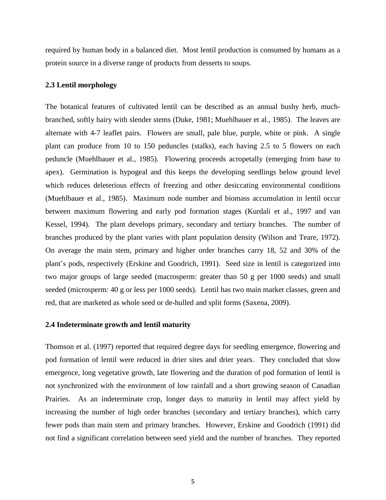required by human body in a balanced diet. Most lentil production is consumed by humans as a protein source in a diverse range of products from desserts to soups.

# **2.3 Lentil morphology**

The botanical features of cultivated lentil can be described as an annual bushy herb, muchbranched, softly hairy with slender stems (Duke, 1981; Muehlbauer et al., 1985). The leaves are alternate with 4-7 leaflet pairs. Flowers are small, pale blue, purple, white or pink. A single plant can produce from 10 to 150 peduncles (stalks), each having 2.5 to 5 flowers on each peduncle (Muehlbauer et al., 1985). Flowering proceeds acropetally (emerging from base to apex). Germination is hypogeal and this keeps the developing seedlings below ground level which reduces deleterious effects of freezing and other desiccating environmental conditions (Muehlbauer et al., 1985). Maximum node number and biomass accumulation in lentil occur between maximum flowering and early pod formation stages (Kurdali et al., 1997 and van Kessel, 1994). The plant develops primary, secondary and tertiary branches. The number of branches produced by the plant varies with plant population density (Wilson and Teare, 1972). On average the main stem, primary and higher order branches carry 18, 52 and 30% of the plant's pods, respectively (Erskine and Goodrich, 1991). Seed size in lentil is categorized into two major groups of large seeded (macrosperm: greater than 50 g per 1000 seeds) and small seeded (microsperm: 40 g or less per 1000 seeds). Lentil has two main market classes, green and red, that are marketed as whole seed or de-hulled and split forms (Saxena, 2009).

#### **2.4 Indeterminate growth and lentil maturity**

Thomson et al. (1997) reported that required degree days for seedling emergence, flowering and pod formation of lentil were reduced in drier sites and drier years. They concluded that slow emergence, long vegetative growth, late flowering and the duration of pod formation of lentil is not synchronized with the environment of low rainfall and a short growing season of Canadian Prairies. As an indeterminate crop, longer days to maturity in lentil may affect yield by increasing the number of high order branches (secondary and tertiary branches), which carry fewer pods than main stem and primary branches. However, Erskine and Goodrich (1991) did not find a significant correlation between seed yield and the number of branches. They reported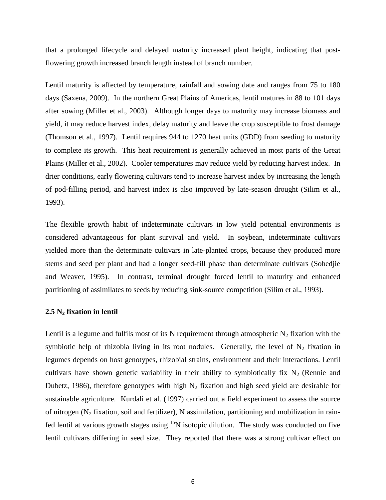that a prolonged lifecycle and delayed maturity increased plant height, indicating that postflowering growth increased branch length instead of branch number.

Lentil maturity is affected by temperature, rainfall and sowing date and ranges from 75 to 180 days (Saxena, 2009). In the northern Great Plains of Americas, lentil matures in 88 to 101 days after sowing (Miller et al., 2003). Although longer days to maturity may increase biomass and yield, it may reduce harvest index, delay maturity and leave the crop susceptible to frost damage (Thomson et al., 1997). Lentil requires 944 to 1270 heat units (GDD) from seeding to maturity to complete its growth. This heat requirement is generally achieved in most parts of the Great Plains (Miller et al., 2002). Cooler temperatures may reduce yield by reducing harvest index. In drier conditions, early flowering cultivars tend to increase harvest index by increasing the length of pod-filling period, and harvest index is also improved by late-season drought (Silim et al., 1993).

The flexible growth habit of indeterminate cultivars in low yield potential environments is considered advantageous for plant survival and yield. In soybean, indeterminate cultivars yielded more than the determinate cultivars in late-planted crops, because they produced more stems and seed per plant and had a longer seed-fill phase than determinate cultivars (Sohedjie and Weaver, 1995). In contrast, terminal drought forced lentil to maturity and enhanced partitioning of assimilates to seeds by reducing sink-source competition (Silim et al., 1993).

# **2.5 N<sup>2</sup> fixation in lentil**

Lentil is a legume and fulfils most of its N requirement through atmospheric  $N_2$  fixation with the symbiotic help of rhizobia living in its root nodules. Generally, the level of  $N_2$  fixation in legumes depends on host genotypes, rhizobial strains, environment and their interactions. Lentil cultivars have shown genetic variability in their ability to symbiotically fix  $N_2$  (Rennie and Dubetz, 1986), therefore genotypes with high  $N_2$  fixation and high seed yield are desirable for sustainable agriculture. Kurdali et al. (1997) carried out a field experiment to assess the source of nitrogen  $(N_2$  fixation, soil and fertilizer), N assimilation, partitioning and mobilization in rainfed lentil at various growth stages using  $15N$  isotopic dilution. The study was conducted on five lentil cultivars differing in seed size. They reported that there was a strong cultivar effect on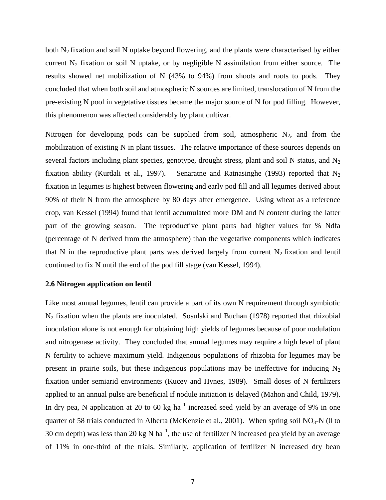both  $N_2$  fixation and soil N uptake beyond flowering, and the plants were characterised by either current  $N_2$  fixation or soil N uptake, or by negligible N assimilation from either source. The results showed net mobilization of N (43% to 94%) from shoots and roots to pods. They concluded that when both soil and atmospheric N sources are limited, translocation of N from the pre-existing N pool in vegetative tissues became the major source of N for pod filling. However, this phenomenon was affected considerably by plant cultivar.

Nitrogen for developing pods can be supplied from soil, atmospheric  $N_2$ , and from the mobilization of existing N in plant tissues. The relative importance of these sources depends on several factors including plant species, genotype, drought stress, plant and soil N status, and  $N_2$ fixation ability (Kurdali et al., 1997). Senaratne and Ratnasinghe (1993) reported that  $N_2$ fixation in legumes is highest between flowering and early pod fill and all legumes derived about 90% of their N from the atmosphere by 80 days after emergence. Using wheat as a reference crop, van Kessel (1994) found that lentil accumulated more DM and N content during the latter part of the growing season. The reproductive plant parts had higher values for % Ndfa (percentage of N derived from the atmosphere) than the vegetative components which indicates that N in the reproductive plant parts was derived largely from current  $N_2$  fixation and lentil continued to fix N until the end of the pod fill stage (van Kessel, 1994).

#### **2.6 Nitrogen application on lentil**

Like most annual legumes, lentil can provide a part of its own N requirement through symbiotic N<sup>2</sup> fixation when the plants are inoculated. Sosulski and Buchan (1978) reported that rhizobial inoculation alone is not enough for obtaining high yields of legumes because of poor nodulation and nitrogenase activity. They concluded that annual legumes may require a high level of plant N fertility to achieve maximum yield. Indigenous populations of rhizobia for legumes may be present in prairie soils, but these indigenous populations may be ineffective for inducing  $N_2$ fixation under semiarid environments (Kucey and Hynes, 1989). Small doses of N fertilizers applied to an annual pulse are beneficial if nodule initiation is delayed (Mahon and Child, 1979). In dry pea, N application at 20 to 60 kg  $ha^{-1}$  increased seed yield by an average of 9% in one quarter of 58 trials conducted in Alberta (McKenzie et al., 2001). When spring soil  $NO<sub>3</sub>-N$  (0 to 30 cm depth) was less than 20 kg N ha<sup>-1</sup>, the use of fertilizer N increased pea yield by an average of 11% in one-third of the trials. Similarly, application of fertilizer N increased dry bean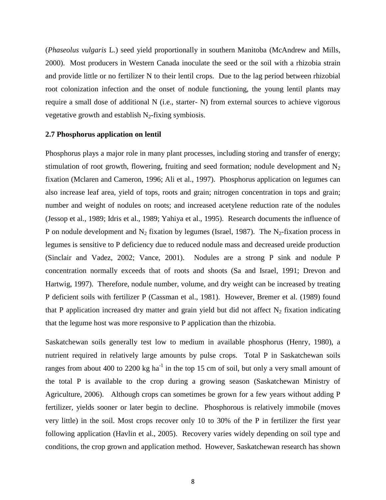(*Phaseolus vulgaris* L.) seed yield proportionally in southern Manitoba (McAndrew and Mills, 2000). Most producers in Western Canada inoculate the seed or the soil with a rhizobia strain and provide little or no fertilizer N to their lentil crops. Due to the lag period between rhizobial root colonization infection and the onset of nodule functioning, the young lentil plants may require a small dose of additional N (i.e., starter- N) from external sources to achieve vigorous vegetative growth and establish  $N_2$ -fixing symbiosis.

#### **2.7 Phosphorus application on lentil**

Phosphorus plays a major role in many plant processes, including storing and transfer of energy; stimulation of root growth, flowering, fruiting and seed formation; nodule development and  $N_2$ fixation (Mclaren and Cameron, 1996; Ali et al., 1997). Phosphorus application on legumes can also increase leaf area, yield of tops, roots and grain; nitrogen concentration in tops and grain; number and weight of nodules on roots; and increased acetylene reduction rate of the nodules (Jessop et al., 1989; Idris et al., 1989; Yahiya et al., 1995). Research documents the influence of P on nodule development and  $N_2$  fixation by legumes (Israel, 1987). The  $N_2$ -fixation process in legumes is sensitive to P deficiency due to reduced nodule mass and decreased ureide production (Sinclair and Vadez, 2002; Vance, 2001). Nodules are a strong P sink and nodule P concentration normally exceeds that of roots and shoots (Sa and Israel, 1991; Drevon and Hartwig, 1997). Therefore, nodule number, volume, and dry weight can be increased by treating P deficient soils with fertilizer P (Cassman et al., 1981). However, Bremer et al. (1989) found that P application increased dry matter and grain yield but did not affect  $N_2$  fixation indicating that the legume host was more responsive to P application than the rhizobia.

Saskatchewan soils generally test low to medium in available phosphorus (Henry, 1980), a nutrient required in relatively large amounts by pulse crops. Total P in Saskatchewan soils ranges from about 400 to 2200 kg ha<sup>-1</sup> in the top 15 cm of soil, but only a very small amount of the total P is available to the crop during a growing season (Saskatchewan Ministry of Agriculture, 2006). Although crops can sometimes be grown for a few years without adding P fertilizer, yields sooner or later begin to decline. Phosphorous is relatively immobile (moves very little) in the soil. Most crops recover only 10 to 30% of the P in fertilizer the first year following application (Havlin et al., 2005). Recovery varies widely depending on soil type and conditions, the crop grown and application method. However, Saskatchewan research has shown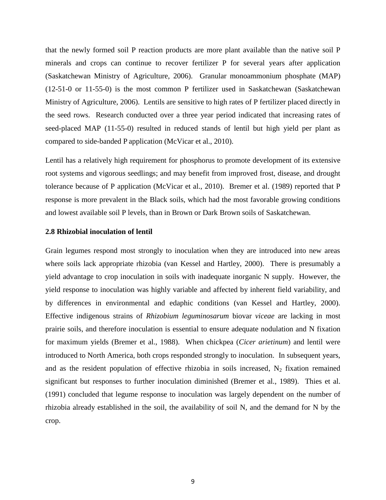that the newly formed soil P reaction products are more plant available than the native soil P minerals and crops can continue to recover fertilizer P for several years after application (Saskatchewan Ministry of Agriculture, 2006). Granular monoammonium phosphate (MAP) (12-51-0 or 11-55-0) is the most common P fertilizer used in Saskatchewan (Saskatchewan Ministry of Agriculture, 2006). Lentils are sensitive to high rates of P fertilizer placed directly in the seed rows. Research conducted over a three year period indicated that increasing rates of seed-placed MAP (11-55-0) resulted in reduced stands of lentil but high yield per plant as compared to side-banded P application (McVicar et al., 2010).

Lentil has a relatively high requirement for phosphorus to promote development of its extensive root systems and vigorous seedlings; and may benefit from improved frost, disease, and drought tolerance because of P application (McVicar et al., 2010). Bremer et al. (1989) reported that P response is more prevalent in the Black soils, which had the most favorable growing conditions and lowest available soil P levels, than in Brown or Dark Brown soils of Saskatchewan.

#### **2.8 Rhizobial inoculation of lentil**

Grain legumes respond most strongly to inoculation when they are introduced into new areas where soils lack appropriate rhizobia (van Kessel and Hartley, 2000). There is presumably a yield advantage to crop inoculation in soils with inadequate inorganic N supply. However, the yield response to inoculation was highly variable and affected by inherent field variability, and by differences in environmental and edaphic conditions (van Kessel and Hartley, 2000). Effective indigenous strains of *Rhizobium leguminosarum* biovar *viceae* are lacking in most prairie soils, and therefore inoculation is essential to ensure adequate nodulation and N fixation for maximum yields (Bremer et al., 1988). When chickpea (*Cicer arietinum*) and lentil were introduced to North America, both crops responded strongly to inoculation. In subsequent years, and as the resident population of effective rhizobia in soils increased,  $N_2$  fixation remained significant but responses to further inoculation diminished (Bremer et al., 1989). Thies et al. (1991) concluded that legume response to inoculation was largely dependent on the number of rhizobia already established in the soil, the availability of soil N, and the demand for N by the crop.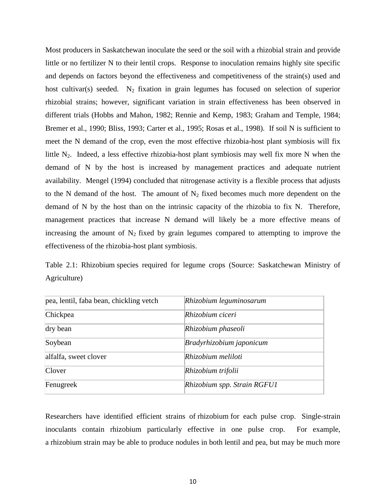Most producers in Saskatchewan inoculate the seed or the soil with a rhizobial strain and provide little or no fertilizer N to their lentil crops. Response to inoculation remains highly site specific and depends on factors beyond the effectiveness and competitiveness of the strain(s) used and host cultivar(s) seeded. N<sub>2</sub> fixation in grain legumes has focused on selection of superior rhizobial strains; however, significant variation in strain effectiveness has been observed in different trials (Hobbs and Mahon, 1982; Rennie and Kemp, 1983; Graham and Temple, 1984; Bremer et al., 1990; Bliss, 1993; Carter et al., 1995; Rosas et al., 1998). If soil N is sufficient to meet the N demand of the crop, even the most effective rhizobia-host plant symbiosis will fix little N<sub>2</sub>. Indeed, a less effective rhizobia-host plant symbiosis may well fix more N when the demand of N by the host is increased by management practices and adequate nutrient availability. Mengel (1994) concluded that nitrogenase activity is a flexible process that adjusts to the N demand of the host. The amount of  $N_2$  fixed becomes much more dependent on the demand of N by the host than on the intrinsic capacity of the rhizobia to fix N. Therefore, management practices that increase N demand will likely be a more effective means of increasing the amount of  $N_2$  fixed by grain legumes compared to attempting to improve the effectiveness of the rhizobia-host plant symbiosis.

Table 2.1: Rhizobium species required for legume crops (Source: Saskatchewan Ministry of Agriculture)

| pea, lentil, faba bean, chickling vetch | Rhizobium leguminosarum     |
|-----------------------------------------|-----------------------------|
| Chickpea                                | Rhizobium ciceri            |
| dry bean                                | Rhizobium phaseoli          |
| Soybean                                 | Bradyrhizobium japonicum    |
| alfalfa, sweet clover                   | Rhizobium meliloti          |
| Clover                                  | Rhizobium trifolii          |
| Fenugreek                               | Rhizobium spp. Strain RGFU1 |

Researchers have identified efficient strains of rhizobium for each pulse crop. Single-strain inoculants contain rhizobium particularly effective in one pulse crop. For example, a rhizobium strain may be able to produce nodules in both lentil and pea, but may be much more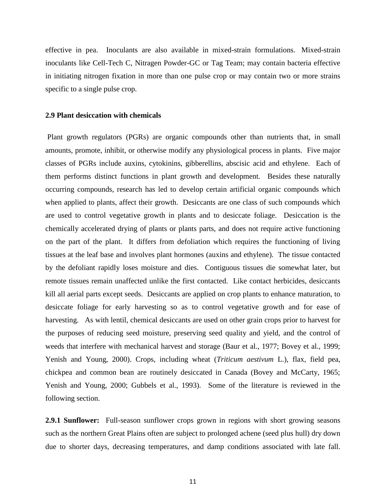effective in pea. Inoculants are also available in mixed-strain formulations. Mixed-strain inoculants like Cell-Tech C, Nitragen Powder-GC or Tag Team; may contain bacteria effective in initiating nitrogen fixation in more than one pulse crop or may contain two or more strains specific to a single pulse crop.

# **2.9 Plant desiccation with chemicals**

Plant growth regulators (PGRs) are organic compounds other than nutrients that, in small amounts, promote, inhibit, or otherwise modify any physiological process in plants. Five major classes of PGRs include auxins, cytokinins, gibberellins, abscisic acid and ethylene. Each of them performs distinct functions in plant growth and development. Besides these naturally occurring compounds, research has led to develop certain artificial organic compounds which when applied to plants, affect their growth. Desiccants are one class of such compounds which are used to control vegetative growth in plants and to desiccate foliage. Desiccation is the chemically accelerated drying of plants or plants parts, and does not require active functioning on the part of the plant. It differs from defoliation which requires the functioning of living tissues at the leaf base and involves plant hormones (auxins and ethylene). The tissue contacted by the defoliant rapidly loses moisture and dies. Contiguous tissues die somewhat later, but remote tissues remain unaffected unlike the first contacted. Like contact herbicides, desiccants kill all aerial parts except seeds. Desiccants are applied on crop plants to enhance maturation, to desiccate foliage for early harvesting so as to control vegetative growth and for ease of harvesting. As with lentil, chemical desiccants are used on other grain crops prior to harvest for the purposes of reducing seed moisture, preserving seed quality and yield, and the control of weeds that interfere with mechanical harvest and storage (Baur et al., 1977; Bovey et al., 1999; Yenish and Young, 2000). Crops, including wheat (*Triticum aestivum* L.), flax, field pea, chickpea and common bean are routinely desiccated in Canada (Bovey and McCarty, 1965; Yenish and Young, 2000; Gubbels et al., 1993). Some of the literature is reviewed in the following section.

**2.9.1 Sunflower:** Full-season sunflower crops grown in regions with short growing seasons such as the northern Great Plains often are subject to prolonged achene (seed plus hull) dry down due to shorter days, decreasing temperatures, and damp conditions associated with late fall.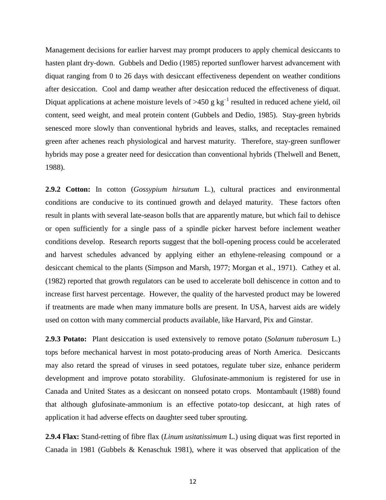Management decisions for earlier harvest may prompt producers to apply chemical desiccants to hasten plant dry-down. Gubbels and Dedio (1985) reported sunflower harvest advancement with diquat ranging from 0 to 26 days with desiccant effectiveness dependent on weather conditions after desiccation. Cool and damp weather after desiccation reduced the effectiveness of diquat. Diquat applications at achene moisture levels of  $>450$  g kg<sup>-1</sup> resulted in reduced achene yield, oil content, seed weight, and meal protein content (Gubbels and Dedio, 1985). Stay-green hybrids senesced more slowly than conventional hybrids and leaves, stalks, and receptacles remained green after achenes reach physiological and harvest maturity. Therefore, stay-green sunflower hybrids may pose a greater need for desiccation than conventional hybrids (Thelwell and Benett, 1988).

**2.9.2 Cotton:** In cotton (*Gossypium hirsutum* L.), cultural practices and environmental conditions are conducive to its continued growth and delayed maturity. These factors often result in plants with several late-season bolls that are apparently mature, but which fail to dehisce or open sufficiently for a single pass of a spindle picker harvest before inclement weather conditions develop. Research reports suggest that the boll-opening process could be accelerated and harvest schedules advanced by applying either an ethylene-releasing compound or a desiccant chemical to the plants (Simpson and Marsh, 1977; Morgan et al., 1971). Cathey et al. (1982) reported that growth regulators can be used to accelerate boll dehiscence in cotton and to increase first harvest percentage. However, the quality of the harvested product may be lowered if treatments are made when many immature bolls are present. In USA, harvest aids are widely used on cotton with many commercial products available, like Harvard, Pix and Ginstar.

**2.9.3 Potato:** Plant desiccation is used extensively to remove potato (*Solanum tuberosum* L.) tops before mechanical harvest in most potato-producing areas of North America. Desiccants may also retard the spread of viruses in seed potatoes, regulate tuber size, enhance periderm development and improve potato storability. Glufosinate-ammonium is registered for use in Canada and United States as a desiccant on nonseed potato crops. Montambault (1988) found that although glufosinate-ammonium is an effective potato-top desiccant, at high rates of application it had adverse effects on daughter seed tuber sprouting.

**2.9.4 Flax:** Stand-retting of fibre flax (*Linum usitatissimum* L.) using diquat was first reported in Canada in 1981 (Gubbels & Kenaschuk 1981), where it was observed that application of the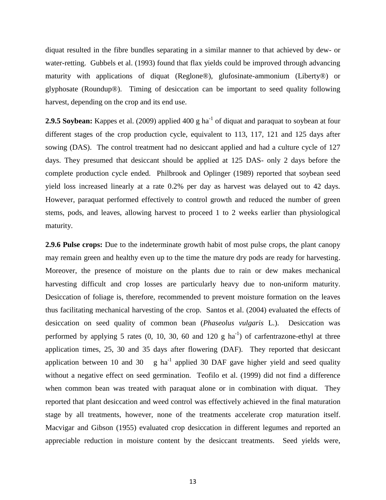diquat resulted in the fibre bundles separating in a similar manner to that achieved by dew- or water-retting. Gubbels et al. (1993) found that flax yields could be improved through advancing maturity with applications of diquat (Reglone®), glufosinate-ammonium (Liberty®) or glyphosate (Roundup®). Timing of desiccation can be important to seed quality following harvest, depending on the crop and its end use.

**2.9.5 Soybean:** Kappes et al. (2009) applied 400 g ha<sup>-1</sup> of diquat and paraquat to soybean at four different stages of the crop production cycle, equivalent to 113, 117, 121 and 125 days after sowing (DAS). The control treatment had no desiccant applied and had a culture cycle of 127 days. They presumed that desiccant should be applied at 125 DAS- only 2 days before the complete production cycle ended. Philbrook and Oplinger (1989) reported that soybean seed yield loss increased linearly at a rate 0.2% per day as harvest was delayed out to 42 days. However, paraquat performed effectively to control growth and reduced the number of green stems, pods, and leaves, allowing harvest to proceed 1 to 2 weeks earlier than physiological maturity.

**2.9.6 Pulse crops:** Due to the indeterminate growth habit of most pulse crops, the plant canopy may remain green and healthy even up to the time the mature dry pods are ready for harvesting. Moreover, the presence of moisture on the plants due to rain or dew makes mechanical harvesting difficult and crop losses are particularly heavy due to non-uniform maturity. Desiccation of foliage is, therefore, recommended to prevent moisture formation on the leaves thus facilitating mechanical harvesting of the crop. Santos et al. (2004) evaluated the effects of desiccation on seed quality of common bean (*Phaseolus vulgaris* L.). Desiccation was performed by applying 5 rates  $(0, 10, 30, 60, 41, 120, g \text{ ha}^{-1})$  of carfentrazone-ethyl at three application times, 25, 30 and 35 days after flowering (DAF). They reported that desiccant application between 10 and 30  $\,$  g ha<sup>-1</sup> applied 30 DAF gave higher yield and seed quality without a negative effect on seed germination. Teofilo et al. (1999) did not find a difference when common bean was treated with paraquat alone or in combination with diquat. They reported that plant desiccation and weed control was effectively achieved in the final maturation stage by all treatments, however, none of the treatments accelerate crop maturation itself. Macvigar and Gibson (1955) evaluated crop desiccation in different legumes and reported an appreciable reduction in moisture content by the desiccant treatments. Seed yields were,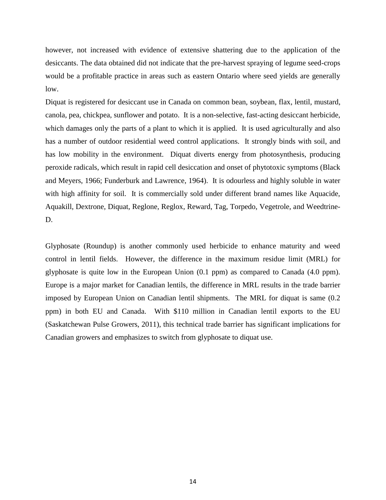however, not increased with evidence of extensive shattering due to the application of the desiccants. The data obtained did not indicate that the pre-harvest spraying of legume seed-crops would be a profitable practice in areas such as eastern Ontario where seed yields are generally low.

Diquat is registered for desiccant use in Canada on common bean, soybean, flax, lentil, mustard, canola, pea, chickpea, sunflower and potato. It is a non-selective, fast-acting desiccant herbicide, which damages only the parts of a plant to which it is applied. It is used agriculturally and also has a number of outdoor residential weed control applications. It strongly binds with soil, and has low mobility in the environment. Diquat diverts energy from photosynthesis, producing peroxide radicals, which result in rapid cell desiccation and onset of phytotoxic symptoms (Black and Meyers, 1966; Funderburk and Lawrence, 1964). It is odourless and highly soluble in water with high affinity for soil. It is commercially sold under different brand names like Aquacide, Aquakill, Dextrone, Diquat, Reglone, Reglox, Reward, Tag, Torpedo, Vegetrole, and Weedtrine-D.

Glyphosate (Roundup) is another commonly used herbicide to enhance maturity and weed control in lentil fields. However, the difference in the maximum residue limit (MRL) for glyphosate is quite low in the European Union (0.1 ppm) as compared to Canada (4.0 ppm). Europe is a major market for Canadian lentils, the difference in MRL results in the trade barrier imposed by European Union on Canadian lentil shipments. The MRL for diquat is same (0.2 ppm) in both EU and Canada. With \$110 million in Canadian lentil exports to the EU (Saskatchewan Pulse Growers, 2011), this technical trade barrier has significant implications for Canadian growers and emphasizes to switch from glyphosate to diquat use.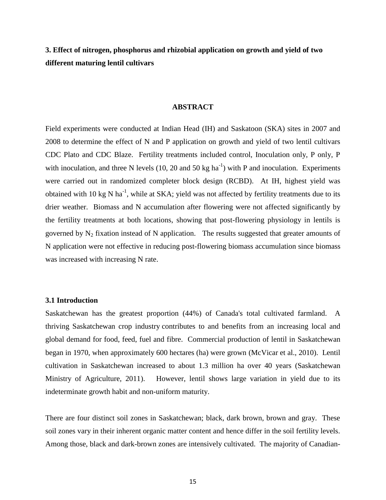**3. Effect of nitrogen, phosphorus and rhizobial application on growth and yield of two different maturing lentil cultivars**

#### **ABSTRACT**

Field experiments were conducted at Indian Head (IH) and Saskatoon (SKA) sites in 2007 and 2008 to determine the effect of N and P application on growth and yield of two lentil cultivars CDC Plato and CDC Blaze. Fertility treatments included control, Inoculation only, P only, P with inoculation, and three N levels (10, 20 and 50 kg ha<sup>-1</sup>) with P and inoculation. Experiments were carried out in randomized completer block design (RCBD). At IH, highest yield was obtained with 10 kg N ha<sup>-1</sup>, while at SKA; yield was not affected by fertility treatments due to its drier weather. Biomass and N accumulation after flowering were not affected significantly by the fertility treatments at both locations, showing that post-flowering physiology in lentils is governed by  $N_2$  fixation instead of N application. The results suggested that greater amounts of N application were not effective in reducing post-flowering biomass accumulation since biomass was increased with increasing N rate.

# **3.1 Introduction**

Saskatchewan has the greatest proportion (44%) of Canada's total cultivated farmland. A thriving Saskatchewan crop industry contributes to and benefits from an increasing local and global demand for food, feed, fuel and fibre. Commercial production of lentil in Saskatchewan began in 1970, when approximately 600 hectares (ha) were grown (McVicar et al., 2010). Lentil cultivation in Saskatchewan increased to about 1.3 million ha over 40 years (Saskatchewan Ministry of Agriculture, 2011). However, lentil shows large variation in yield due to its indeterminate growth habit and non-uniform maturity.

There are four distinct soil zones in Saskatchewan; black, dark brown, brown and gray. These soil zones vary in their inherent organic matter content and hence differ in the soil fertility levels. Among those, black and dark-brown zones are intensively cultivated. The majority of Canadian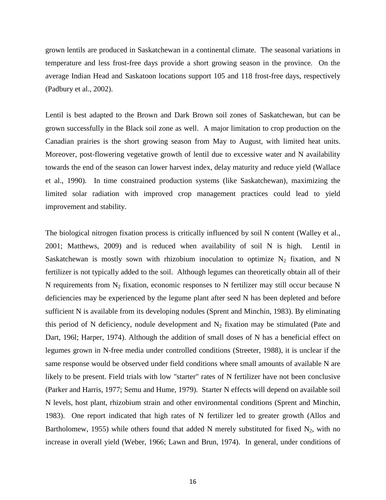grown lentils are produced in Saskatchewan in a continental climate. The seasonal variations in temperature and less frost-free days provide a short growing season in the province. On the average Indian Head and Saskatoon locations support 105 and 118 frost-free days, respectively (Padbury et al., 2002).

Lentil is best adapted to the Brown and Dark Brown soil zones of Saskatchewan, but can be grown successfully in the Black soil zone as well. A major limitation to crop production on the Canadian prairies is the short growing season from May to August, with limited heat units. Moreover, post-flowering vegetative growth of lentil due to excessive water and N availability towards the end of the season can lower harvest index, delay maturity and reduce yield (Wallace et al., 1990). In time constrained production systems (like Saskatchewan), maximizing the limited solar radiation with improved crop management practices could lead to yield improvement and stability.

The biological nitrogen fixation process is critically influenced by soil N content (Walley et al., 2001; Matthews, 2009) and is reduced when availability of soil N is high. Lentil in Saskatchewan is mostly sown with rhizobium inoculation to optimize  $N_2$  fixation, and N fertilizer is not typically added to the soil. Although legumes can theoretically obtain all of their N requirements from  $N_2$  fixation, economic responses to N fertilizer may still occur because N deficiencies may be experienced by the legume plant after seed N has been depleted and before sufficient N is available from its developing nodules (Sprent and Minchin, 1983). By eliminating this period of N deficiency, nodule development and  $N_2$  fixation may be stimulated (Pate and Dart, 196l; Harper, 1974). Although the addition of small doses of N has a beneficial effect on legumes grown in N-free media under controlled conditions (Streeter, 1988), it is unclear if the same response would be observed under field conditions where small amounts of available N are likely to be present. Field trials with low "starter" rates of N fertilizer have not been conclusive (Parker and Harris, 1977; Semu and Hume, 1979). Starter N effects will depend on available soil N levels, host plant, rhizobium strain and other environmental conditions (Sprent and Minchin, 1983). One report indicated that high rates of N fertilizer led to greater growth (Allos and Bartholomew, 1955) while others found that added N merely substituted for fixed  $N_2$ , with no increase in overall yield (Weber, 1966; Lawn and Brun, 1974). In general, under conditions of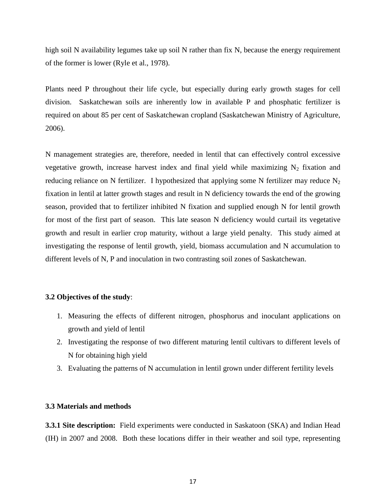high soil N availability legumes take up soil N rather than fix N, because the energy requirement of the former is lower (Ryle et al., 1978).

Plants need P throughout their life cycle, but especially during early growth stages for cell division. Saskatchewan soils are inherently low in available P and phosphatic fertilizer is required on about 85 per cent of Saskatchewan cropland (Saskatchewan Ministry of Agriculture, 2006).

N management strategies are, therefore, needed in lentil that can effectively control excessive vegetative growth, increase harvest index and final yield while maximizing  $N_2$  fixation and reducing reliance on N fertilizer. I hypothesized that applying some N fertilizer may reduce  $N_2$ fixation in lentil at latter growth stages and result in N deficiency towards the end of the growing season, provided that to fertilizer inhibited N fixation and supplied enough N for lentil growth for most of the first part of season. This late season N deficiency would curtail its vegetative growth and result in earlier crop maturity, without a large yield penalty. This study aimed at investigating the response of lentil growth, yield, biomass accumulation and N accumulation to different levels of N, P and inoculation in two contrasting soil zones of Saskatchewan.

# **3.2 Objectives of the study**:

- 1. Measuring the effects of different nitrogen, phosphorus and inoculant applications on growth and yield of lentil
- 2. Investigating the response of two different maturing lentil cultivars to different levels of N for obtaining high yield
- 3. Evaluating the patterns of N accumulation in lentil grown under different fertility levels

# **3.3 Materials and methods**

**3.3.1 Site description:** Field experiments were conducted in Saskatoon (SKA) and Indian Head (IH) in 2007 and 2008. Both these locations differ in their weather and soil type, representing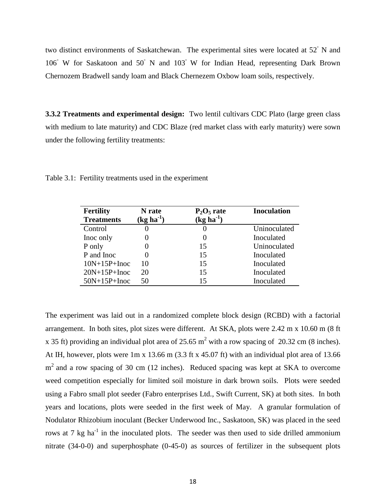two distinct environments of Saskatchewan. The experimental sites were located at 52◦ N and 106◦ W for Saskatoon and 50◦ N and 103◦ W for Indian Head, representing Dark Brown Chernozem Bradwell sandy loam and Black Chernezem Oxbow loam soils, respectively.

**3.3.2 Treatments and experimental design:** Two lentil cultivars CDC Plato (large green class with medium to late maturity) and CDC Blaze (red market class with early maturity) were sown under the following fertility treatments:

| <b>Fertility</b>  | N rate      | $P_2O_5$ rate | <b>Inoculation</b> |
|-------------------|-------------|---------------|--------------------|
| <b>Treatments</b> | $(kg ha-1)$ | $(kg ha-1)$   |                    |
| Control           |             | 0             | Uninoculated       |
| Inoc only         | 0           | $_{0}$        | Inoculated         |
| P only            | 0           | 15            | Uninoculated       |
| P and Inoc        | 0           | 15            | Inoculated         |
| $10N+15P+Inoc$    | 10          | 15            | Inoculated         |
| $20N+15P+Inoc$    | 20          | 15            | Inoculated         |
| $50N+15P+Inoc$    | 50          | 15            | Inoculated         |

Table 3.1: Fertility treatments used in the experiment

The experiment was laid out in a randomized complete block design (RCBD) with a factorial arrangement. In both sites, plot sizes were different. At SKA, plots were 2.42 m x 10.60 m (8 ft x 35 ft) providing an individual plot area of 25.65 m<sup>2</sup> with a row spacing of 20.32 cm (8 inches). At IH, however, plots were 1m x 13.66 m (3.3 ft x 45.07 ft) with an individual plot area of 13.66  $m<sup>2</sup>$  and a row spacing of 30 cm (12 inches). Reduced spacing was kept at SKA to overcome weed competition especially for limited soil moisture in dark brown soils. Plots were seeded using a Fabro small plot seeder (Fabro enterprises Ltd., Swift Current, SK) at both sites. In both years and locations, plots were seeded in the first week of May. A granular formulation of Nodulator Rhizobium inoculant (Becker Underwood Inc., Saskatoon, SK) was placed in the seed rows at 7 kg  $ha^{-1}$  in the inoculated plots. The seeder was then used to side drilled ammonium nitrate (34-0-0) and superphosphate (0-45-0) as sources of fertilizer in the subsequent plots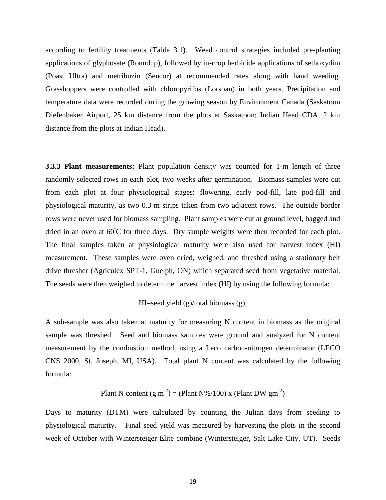according to fertility treatments (Table 3.1). Weed control strategies included pre-planting applications of glyphosate (Roundup), followed by in-crop herbicide applications of sethoxydim (Poast Ultra) and metribuzin (Sencor) at recommended rates along with hand weeding. Grasshoppers were controlled with chloropyrifos (Lorsban) in both years. Precipitation and temperature data were recorded during the growing season by Environment Canada (Saskatoon Diefenbaker Airport, 25 km distance from the plots at Saskatoon; Indian Head CDA, 2 km distance from the plots at Indian Head).

**3.3.3 Plant measurements:** Plant population density was counted for 1-m length of three randomly selected rows in each plot, two weeks after germination. Biomass samples were cut from each plot at four physiological stages: flowering, early pod-fill, late pod-fill and physiological maturity, as two 0.3-m strips taken from two adjacent rows. The outside border rows were never used for biomass sampling. Plant samples were cut at ground level, bagged and dried in an oven at 60℃ for three days. Dry sample weights were then recorded for each plot. The final samples taken at physiological maturity were also used for harvest index (HI) measurement. These samples were oven dried, weighed, and threshed using a stationary belt drive thresher (Agriculex SPT-1, Guelph, ON) which separated seed from vegetative material. The seeds were then weighed to determine harvest index (HI) by using the following formula:

### HI=seed yield  $(g)/\text{total biomass}(g)$ .

A sub-sample was also taken at maturity for measuring N content in biomass as the original sample was threshed. Seed and biomass samples were ground and analyzed for N content measurement by the combustion method, using a Leco carbon-nitrogen determinator (LECO CNS 2000, St. Joseph, MI, USA). Total plant N content was calculated by the following formula:

Plant N content (g m-2 ) = (Plant N%/100) x (Plant DW gm-2 )

Days to maturity (DTM) were calculated by counting the Julian days from seeding to physiological maturity. Final seed yield was measured by harvesting the plots in the second week of October with Wintersteiger Elite combine (Wintersteiger, Salt Lake City, UT). Seeds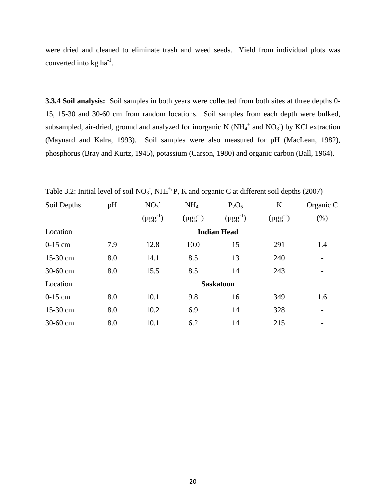were dried and cleaned to eliminate trash and weed seeds. Yield from individual plots was converted into  $kg \text{ ha}^{-1}$ .

**3.3.4 Soil analysis:** Soil samples in both years were collected from both sites at three depths 0- 15, 15-30 and 30-60 cm from random locations. Soil samples from each depth were bulked, subsampled, air-dried, ground and analyzed for inorganic N ( $NH_4^+$  and  $NO_3$ ) by KCl extraction (Maynard and Kalra, 1993). Soil samples were also measured for pH (MacLean, 1982), phosphorus (Bray and Kurtz, 1945), potassium (Carson, 1980) and organic carbon (Ball, 1964).

| Soil Depths | pH  | NO <sub>3</sub> | $NH_4$ <sup>+</sup> | $P_2O_5$           | K               | Organic C |
|-------------|-----|-----------------|---------------------|--------------------|-----------------|-----------|
|             |     | $(\mu gg^{-1})$ | $(\mu gg^{-1})$     | $(\mu gg^{-1})$    | $(\mu gg^{-1})$ | (% )      |
| Location    |     |                 |                     | <b>Indian Head</b> |                 |           |
| $0-15$ cm   | 7.9 | 12.8            | 10.0                | 15                 | 291             | 1.4       |
| 15-30 cm    | 8.0 | 14.1            | 8.5                 | 13                 | 240             |           |
| 30-60 cm    | 8.0 | 15.5            | 8.5                 | 14                 | 243             |           |
| Location    |     |                 |                     | <b>Saskatoon</b>   |                 |           |
| $0-15$ cm   | 8.0 | 10.1            | 9.8                 | 16                 | 349             | 1.6       |
| 15-30 cm    | 8.0 | 10.2            | 6.9                 | 14                 | 328             | -         |
| 30-60 cm    | 8.0 | 10.1            | 6.2                 | 14                 | 215             |           |

Table 3.2: Initial level of soil  $NO_3$ ,  $NH_4^+$ P, K and organic C at different soil depths (2007)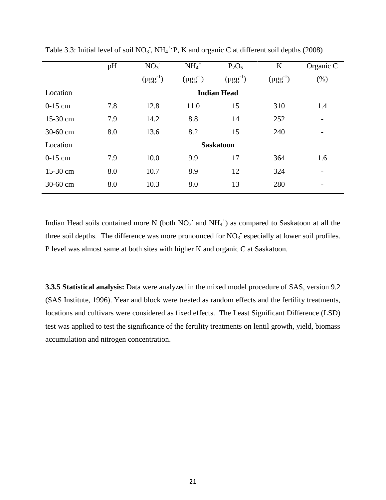|           | pH  | $NH_4$ <sup>+</sup><br>NO <sub>3</sub> |                 | $P_2O_5$           | $\bf K$         | Organic C |
|-----------|-----|----------------------------------------|-----------------|--------------------|-----------------|-----------|
|           |     | $(\mu gg^{-1})$                        | $(\mu gg^{-1})$ | $(\mu gg^{-1})$    | $(\mu gg^{-1})$ | (% )      |
| Location  |     |                                        |                 | <b>Indian Head</b> |                 |           |
| $0-15$ cm | 7.8 | 12.8                                   | 11.0            | 15                 | 310             | 1.4       |
| 15-30 cm  | 7.9 | 14.2                                   | 8.8             | 14                 | 252             |           |
| 30-60 cm  | 8.0 | 13.6                                   | 8.2             | 15                 | 240             |           |
| Location  |     |                                        |                 | <b>Saskatoon</b>   |                 |           |
| $0-15$ cm | 7.9 | 10.0                                   | 9.9             | 17                 | 364             | 1.6       |
| 15-30 cm  | 8.0 | 10.7                                   | 8.9             | 12                 | 324             |           |
| 30-60 cm  | 8.0 | 10.3                                   | 8.0             | 13                 | 280             |           |

Table 3.3: Initial level of soil  $NO_3$ ,  $NH_4^+$  P, K and organic C at different soil depths (2008)

Indian Head soils contained more N (both  $NO_3^-$  and  $NH_4^+$ ) as compared to Saskatoon at all the three soil depths. The difference was more pronounced for  $NO<sub>3</sub>$  especially at lower soil profiles. P level was almost same at both sites with higher K and organic C at Saskatoon.

**3.3.5 Statistical analysis:** Data were analyzed in the mixed model procedure of SAS, version 9.2 (SAS Institute, 1996). Year and block were treated as random effects and the fertility treatments, locations and cultivars were considered as fixed effects. The Least Significant Difference (LSD) test was applied to test the significance of the fertility treatments on lentil growth, yield, biomass accumulation and nitrogen concentration.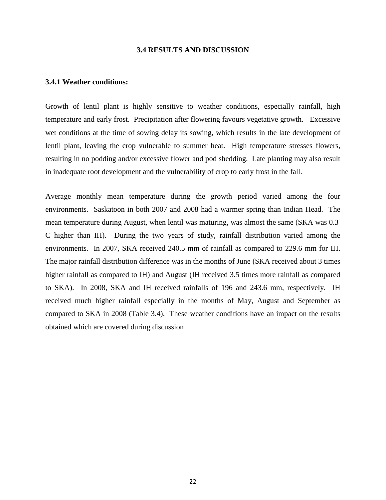### **3.4 RESULTS AND DISCUSSION**

#### **3.4.1 Weather conditions:**

Growth of lentil plant is highly sensitive to weather conditions, especially rainfall, high temperature and early frost. Precipitation after flowering favours vegetative growth. Excessive wet conditions at the time of sowing delay its sowing, which results in the late development of lentil plant, leaving the crop vulnerable to summer heat. High temperature stresses flowers, resulting in no podding and/or excessive flower and pod shedding. Late planting may also result in inadequate root development and the vulnerability of crop to early frost in the fall.

Average monthly mean temperature during the growth period varied among the four environments. Saskatoon in both 2007 and 2008 had a warmer spring than Indian Head. The mean temperature during August, when lentil was maturing, was almost the same (SKA was 0.3◦ C higher than IH). During the two years of study, rainfall distribution varied among the environments. In 2007, SKA received 240.5 mm of rainfall as compared to 229.6 mm for IH. The major rainfall distribution difference was in the months of June (SKA received about 3 times higher rainfall as compared to IH) and August (IH received 3.5 times more rainfall as compared to SKA). In 2008, SKA and IH received rainfalls of 196 and 243.6 mm, respectively. IH received much higher rainfall especially in the months of May, August and September as compared to SKA in 2008 (Table 3.4). These weather conditions have an impact on the results obtained which are covered during discussion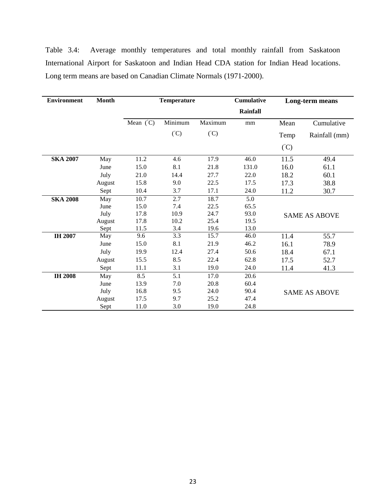| <b>Environment</b> | <b>Month</b> |                    | <b>Temperature</b> |                 | <b>Cumulative</b> | Long-term means   |                      |  |
|--------------------|--------------|--------------------|--------------------|-----------------|-------------------|-------------------|----------------------|--|
|                    |              |                    |                    |                 | Rainfall          |                   |                      |  |
|                    |              | Mean $(^{\circ}C)$ | Minimum            | Maximum         | mm                | Mean              | Cumulative           |  |
|                    |              |                    | $({}^{\circ}C)$    | $({}^{\circ}C)$ |                   | Temp              | Rainfall (mm)        |  |
|                    |              |                    |                    |                 |                   | $\rm (^{\circ}C)$ |                      |  |
| <b>SKA 2007</b>    | May          | 11.2               | 4.6                | 17.9            | 46.0              | 11.5              | 49.4                 |  |
|                    | June         | 15.0               | 8.1                | 21.8            | 131.0             | 16.0              | 61.1                 |  |
|                    | July         | 21.0               | 14.4               | 27.7            | 22.0              | 18.2              | 60.1                 |  |
|                    | August       | 15.8               | 9.0                | 22.5            | 17.5              | 17.3              | 38.8                 |  |
|                    | Sept         | 10.4               | 3.7                | 17.1            | 24.0              | 11.2              | 30.7                 |  |
| <b>SKA 2008</b>    | May          | 10.7               | 2.7                | 18.7            | 5.0               |                   |                      |  |
|                    | June         | 15.0               | 7.4                | 22.5            | 65.5              |                   |                      |  |
|                    | July         | 17.8               | 10.9               | 24.7            | 93.0              |                   | <b>SAME AS ABOVE</b> |  |
|                    | August       | 17.8               | 10.2               | 25.4            | 19.5              |                   |                      |  |
|                    | Sept         | 11.5               | 3.4                | 19.6            | 13.0              |                   |                      |  |
| <b>IH 2007</b>     | May          | 9.6                | 3.3                | 15.7            | 46.0              | 11.4              | 55.7                 |  |
|                    | June         | 15.0               | 8.1                | 21.9            | 46.2              | 16.1              | 78.9                 |  |
|                    | July         | 19.9               | 12.4               | 27.4            | 50.6              | 18.4              | 67.1                 |  |
|                    | August       | 15.5               | 8.5                | 22.4            | 62.8              | 17.5              | 52.7                 |  |
|                    | Sept         | 11.1               | 3.1                | 19.0            | 24.0              | 11.4              | 41.3                 |  |
| <b>IH 2008</b>     | May          | 8.5                | 5.1                | 17.0            | 20.6              |                   |                      |  |
|                    | June         | 13.9               | 7.0                | 20.8            | 60.4              |                   |                      |  |
|                    | July         | 16.8               | 9.5                | 24.0            | 90.4              |                   | <b>SAME AS ABOVE</b> |  |
|                    | August       | 17.5               | 9.7                | 25.2            | 47.4              |                   |                      |  |
|                    | Sept         | 11.0               | 3.0                | 19.0            | 24.8              |                   |                      |  |

Table 3.4: Average monthly temperatures and total monthly rainfall from Saskatoon International Airport for Saskatoon and Indian Head CDA station for Indian Head locations. Long term means are based on Canadian Climate Normals (1971-2000).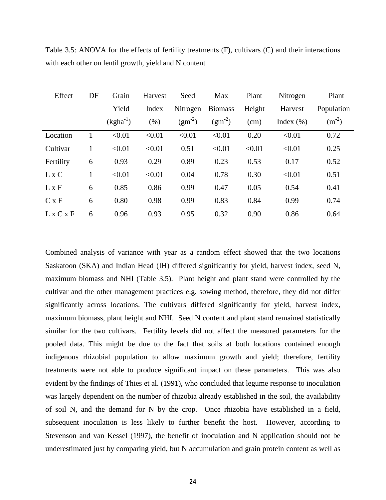| Effect                | DF | Grain         | Harvest | Seed        | Max            | Plant  | Nitrogen     | Plant      |
|-----------------------|----|---------------|---------|-------------|----------------|--------|--------------|------------|
|                       |    | Yield         | Index   | Nitrogen    | <b>Biomass</b> | Height | Harvest      | Population |
|                       |    | $(kgha^{-1})$ | (% )    | $(gm^{-2})$ | $(gm^{-2})$    | (cm)   | Index $(\%)$ | $(m^{-2})$ |
| Location              |    | < 0.01        | < 0.01  | < 0.01      | < 0.01         | 0.20   | < 0.01       | 0.72       |
| Cultivar              |    | < 0.01        | < 0.01  | 0.51        | < 0.01         | < 0.01 | < 0.01       | 0.25       |
| Fertility             | 6  | 0.93          | 0.29    | 0.89        | 0.23           | 0.53   | 0.17         | 0.52       |
| $L \times C$          | 1  | < 0.01        | < 0.01  | 0.04        | 0.78           | 0.30   | < 0.01       | 0.51       |
| $L \times F$          | 6  | 0.85          | 0.86    | 0.99        | 0.47           | 0.05   | 0.54         | 0.41       |
| C x F                 | 6  | 0.80          | 0.98    | 0.99        | 0.83           | 0.84   | 0.99         | 0.74       |
| $L \times C \times F$ | 6  | 0.96          | 0.93    | 0.95        | 0.32           | 0.90   | 0.86         | 0.64       |
|                       |    |               |         |             |                |        |              |            |

Table 3.5: ANOVA for the effects of fertility treatments (F), cultivars (C) and their interactions with each other on lentil growth, yield and N content

Combined analysis of variance with year as a random effect showed that the two locations Saskatoon (SKA) and Indian Head (IH) differed significantly for yield, harvest index, seed N, maximum biomass and NHI (Table 3.5). Plant height and plant stand were controlled by the cultivar and the other management practices e.g. sowing method, therefore, they did not differ significantly across locations. The cultivars differed significantly for yield, harvest index, maximum biomass, plant height and NHI. Seed N content and plant stand remained statistically similar for the two cultivars. Fertility levels did not affect the measured parameters for the pooled data. This might be due to the fact that soils at both locations contained enough indigenous rhizobial population to allow maximum growth and yield; therefore, fertility treatments were not able to produce significant impact on these parameters. This was also evident by the findings of Thies et al. (1991), who concluded that legume response to inoculation was largely dependent on the number of rhizobia already established in the soil, the availability of soil N, and the demand for N by the crop. Once rhizobia have established in a field, subsequent inoculation is less likely to further benefit the host. However, according to Stevenson and van Kessel (1997), the benefit of inoculation and N application should not be underestimated just by comparing yield, but N accumulation and grain protein content as well as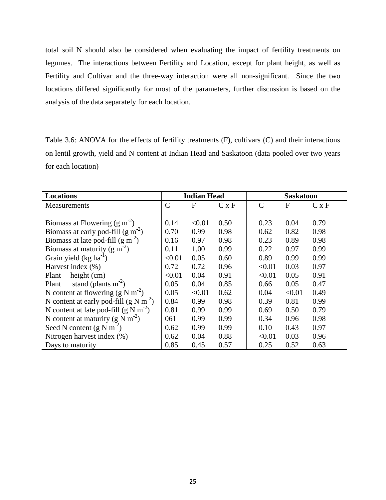total soil N should also be considered when evaluating the impact of fertility treatments on legumes. The interactions between Fertility and Location, except for plant height, as well as Fertility and Cultivar and the three-way interaction were all non-significant. Since the two locations differed significantly for most of the parameters, further discussion is based on the analysis of the data separately for each location.

Table 3.6: ANOVA for the effects of fertility treatments (F), cultivars (C) and their interactions on lentil growth, yield and N content at Indian Head and Saskatoon (data pooled over two years for each location)

| <b>Locations</b>                        |              | <b>Indian Head</b> |              | <b>Saskatoon</b> |        |       |  |
|-----------------------------------------|--------------|--------------------|--------------|------------------|--------|-------|--|
| Measurements                            | $\mathsf{C}$ | F                  | $C \times F$ | $\mathcal{C}$    | F      | C x F |  |
|                                         |              |                    |              |                  |        |       |  |
| Biomass at Flowering $(g m-2)$          | 0.14         | < 0.01             | 0.50         | 0.23             | 0.04   | 0.79  |  |
| Biomass at early pod-fill $(g m-2)$     | 0.70         | 0.99               | 0.98         | 0.62             | 0.82   | 0.98  |  |
| Biomass at late pod-fill $(g m-2)$      | 0.16         | 0.97               | 0.98         | 0.23             | 0.89   | 0.98  |  |
| Biomass at maturity $(g m-2)$           | 0.11         | 1.00               | 0.99         | 0.22             | 0.97   | 0.99  |  |
| Grain yield $(kg ha^{-1})$              | < 0.01       | 0.05               | 0.60         | 0.89             | 0.99   | 0.99  |  |
| Harvest index (%)                       | 0.72         | 0.72               | 0.96         | < 0.01           | 0.03   | 0.97  |  |
| height (cm)<br>Plant                    | < 0.01       | 0.04               | 0.91         | < 0.01           | 0.05   | 0.91  |  |
| stand (plants $m^{-2}$ )<br>Plant       | 0.05         | 0.04               | 0.85         | 0.66             | 0.05   | 0.47  |  |
| N content at flowering $(g N m-2)$      | 0.05         | < 0.01             | 0.62         | 0.04             | < 0.01 | 0.49  |  |
| N content at early pod-fill $(g N m-2)$ | 0.84         | 0.99               | 0.98         | 0.39             | 0.81   | 0.99  |  |
| N content at late pod-fill $(g N m-2)$  | 0.81         | 0.99               | 0.99         | 0.69             | 0.50   | 0.79  |  |
| N content at maturity $(g N m-2)$       | 061          | 0.99               | 0.99         | 0.34             | 0.96   | 0.98  |  |
| Seed N content $(g N m-2)$              | 0.62         | 0.99               | 0.99         | 0.10             | 0.43   | 0.97  |  |
| Nitrogen harvest index (%)              | 0.62         | 0.04               | 0.88         | < 0.01           | 0.03   | 0.96  |  |
| Days to maturity                        | 0.85         | 0.45               | 0.57         | 0.25             | 0.52   | 0.63  |  |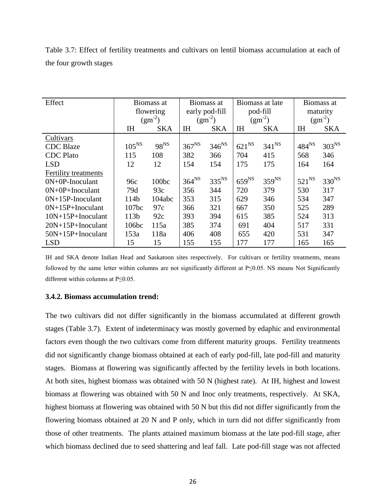| Effect               | Biomass at       |                 |                   | Biomass at        |                   | Biomass at late   |                   | Biomass at        |  |
|----------------------|------------------|-----------------|-------------------|-------------------|-------------------|-------------------|-------------------|-------------------|--|
|                      | flowering        |                 |                   | early pod-fill    |                   | pod-fill          |                   | maturity          |  |
|                      |                  | $(gm^{-2})$     |                   | $(gm^{-2})$       |                   | $(gm^{-2})$       |                   | $(gm^{-2})$       |  |
|                      | <b>IH</b>        | <b>SKA</b>      | IH                | <b>SKA</b>        | I <sub>H</sub>    | <b>SKA</b>        | IH                | <b>SKA</b>        |  |
| Cultivars            |                  |                 |                   |                   |                   |                   |                   |                   |  |
| <b>CDC</b> Blaze     | $105^{NS}$       | $98^{NS}$       | 367 <sup>NS</sup> | 346 <sup>NS</sup> | 621 <sup>NS</sup> | 341 <sup>NS</sup> | 484 <sup>NS</sup> | 303 <sup>NS</sup> |  |
| <b>CDC</b> Plato     | 115              | 108             | 382               | 366               | 704               | 415               | 568               | 346               |  |
| <b>LSD</b>           | 12               | 12              | 154               | 154               | 175               | 175               | 164               | 164               |  |
| Fertility treatments |                  |                 |                   |                   |                   |                   |                   |                   |  |
| $ON+OP$ -Inoculant   | 96c              | 100bc           | 364 <sup>NS</sup> | 335 <sup>NS</sup> | 659 <sup>NS</sup> | 359 <sup>NS</sup> | $521^{NS}$        | 330 <sup>NS</sup> |  |
| $ON+OP+Inoculant$    | 79d              | 93c             | 356               | 344               | 720               | 379               | 530               | 317               |  |
| $0N+15P$ -Inoculant  | 114b             | 104abc          | 353               | 315               | 629               | 346               | 534               | 347               |  |
| $ON+15P+Inoculant$   | 107bc            | 97 <sub>c</sub> | 366               | 321               | 667               | 350               | 525               | 289               |  |
| $10N+15P+Inoculant$  | 113 <sub>b</sub> | 92c             | 393               | 394               | 615               | 385               | 524               | 313               |  |
| $20N+15P+Inoculant$  | 106bc            | 115a            | 385               | 374               | 691               | 404               | 517               | 331               |  |
| 50N+15P+Inoculant    | 153a             | 118a            | 406               | 408               | 655               | 420               | 531               | 347               |  |
| <b>LSD</b>           | 15               | 15              | 155               | 155               | 177               | 177               | 165               | 165               |  |

Table 3.7: Effect of fertility treatments and cultivars on lentil biomass accumulation at each of the four growth stages

IH and SKA denote Indian Head and Saskatoon sites respectively. For cultivars or fertility treatments, means followed by the same letter within columns are not significantly different at P≤0.05. NS means Not Significantly different within columns at P≤0.05.

# **3.4.2. Biomass accumulation trend:**

The two cultivars did not differ significantly in the biomass accumulated at different growth stages (Table 3.7). Extent of indeterminacy was mostly governed by edaphic and environmental factors even though the two cultivars come from different maturity groups. Fertility treatments did not significantly change biomass obtained at each of early pod-fill, late pod-fill and maturity stages. Biomass at flowering was significantly affected by the fertility levels in both locations. At both sites, highest biomass was obtained with 50 N (highest rate). At IH, highest and lowest biomass at flowering was obtained with 50 N and Inoc only treatments, respectively. At SKA, highest biomass at flowering was obtained with 50 N but this did not differ significantly from the flowering biomass obtained at 20 N and P only, which in turn did not differ significantly from those of other treatments. The plants attained maximum biomass at the late pod-fill stage, after which biomass declined due to seed shattering and leaf fall. Late pod-fill stage was not affected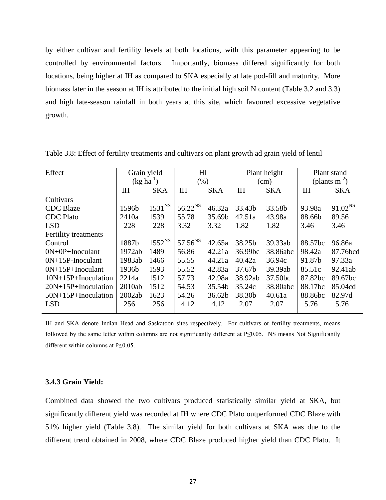by either cultivar and fertility levels at both locations, with this parameter appearing to be controlled by environmental factors. Importantly, biomass differed significantly for both locations, being higher at IH as compared to SKA especially at late pod-fill and maturity. More biomass later in the season at IH is attributed to the initial high soil N content (Table 3.2 and 3.3) and high late-season rainfall in both years at this site, which favoured excessive vegetative growth.

| Effect                | Grain yield    |             | H <sub>I</sub> |                    | Plant height |            | Plant stand |                    |
|-----------------------|----------------|-------------|----------------|--------------------|--------------|------------|-------------|--------------------|
|                       | $(kg ha^{-1})$ |             | (% )           |                    |              | (cm)       |             | (plants $m^{-2}$ ) |
|                       | IH             | <b>SKA</b>  | I <sub>H</sub> | <b>SKA</b>         | $H$          | <b>SKA</b> | <b>IH</b>   | <b>SKA</b>         |
| Cultivars             |                |             |                |                    |              |            |             |                    |
| <b>CDC</b> Blaze      | 1596b          | $1531^{NS}$ | $56.22^{NS}$   | 46.32a             | 33.43b       | 33.58b     | 93.98a      | $91.02^{NS}$       |
| <b>CDC</b> Plato      | 2410a          | 1539        | 55.78          | 35.69b             | 42.51a       | 43.98a     | 88.66b      | 89.56              |
| <b>LSD</b>            | 228            | 228         | 3.32           | 3.32               | 1.82         | 1.82       | 3.46        | 3.46               |
| Fertility treatments  |                |             |                |                    |              |            |             |                    |
| Control               | 1887b          | $1552^{NS}$ | $57.56^{NS}$   | 42.65a             | 38.25b       | 39.33ab    | 88.57bc     | 96.86a             |
| $0N+0P+Inoculant$     | 1972ab         | 1489        | 56.86          | 42.21a             | 36.99bc      | 38.86abc   | 98.42a      | 87.76bcd           |
| $0N+15P$ -Inoculant   | 1983ab         | 1466        | 55.55          | 44.21a             | 40.42a       | 36.94c     | 91.87b      | 97.33a             |
| $ON+15P+Inoculant$    | 1936b          | 1593        | 55.52          | 42.83a             | 37.67b       | 39.39ab    | 85.51c      | 92.41ab            |
| $10N+15P+Inoculation$ | 2214a          | 1512        | 57.73          | 42.98a             | 38.92ab      | 37.50bc    | 87.82bc     | 89.67bc            |
| 20N+15P+Inoculation   | 2010ab         | 1512        | 54.53          | 35.54b             | 35.24c       | 38.80abc   | 88.17bc     | 85.04cd            |
| 50N+15P+Inoculation   | 2002ab         | 1623        | 54.26          | 36.62 <sub>b</sub> | 38.30b       | 40.61a     | 88.86bc     | 82.97d             |
| <b>LSD</b>            | 256            | 256         | 4.12           | 4.12               | 2.07         | 2.07       | 5.76        | 5.76               |
|                       |                |             |                |                    |              |            |             |                    |

Table 3.8: Effect of fertility treatments and cultivars on plant growth ad grain yield of lentil

IH and SKA denote Indian Head and Saskatoon sites respectively. For cultivars or fertility treatments, means followed by the same letter within columns are not significantly different at P≤0.05. NS means Not Significantly different within columns at P≤0.05.

## **3.4.3 Grain Yield:**

Combined data showed the two cultivars produced statistically similar yield at SKA, but significantly different yield was recorded at IH where CDC Plato outperformed CDC Blaze with 51% higher yield (Table 3.8). The similar yield for both cultivars at SKA was due to the different trend obtained in 2008, where CDC Blaze produced higher yield than CDC Plato. It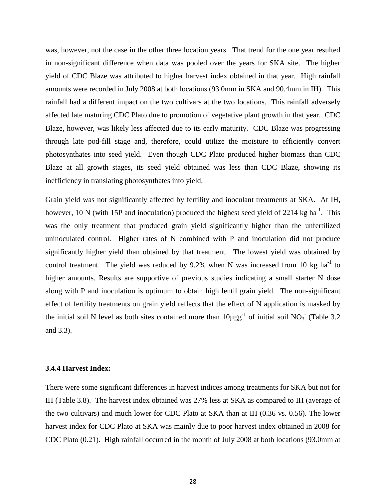was, however, not the case in the other three location years. That trend for the one year resulted in non-significant difference when data was pooled over the years for SKA site. The higher yield of CDC Blaze was attributed to higher harvest index obtained in that year. High rainfall amounts were recorded in July 2008 at both locations (93.0mm in SKA and 90.4mm in IH). This rainfall had a different impact on the two cultivars at the two locations. This rainfall adversely affected late maturing CDC Plato due to promotion of vegetative plant growth in that year. CDC Blaze, however, was likely less affected due to its early maturity. CDC Blaze was progressing through late pod-fill stage and, therefore, could utilize the moisture to efficiently convert photosynthates into seed yield. Even though CDC Plato produced higher biomass than CDC Blaze at all growth stages, its seed yield obtained was less than CDC Blaze, showing its inefficiency in translating photosynthates into yield.

Grain yield was not significantly affected by fertility and inoculant treatments at SKA. At IH, however, 10 N (with 15P and inoculation) produced the highest seed yield of 2214 kg ha<sup>-1</sup>. This was the only treatment that produced grain yield significantly higher than the unfertilized uninoculated control. Higher rates of N combined with P and inoculation did not produce significantly higher yield than obtained by that treatment. The lowest yield was obtained by control treatment. The yield was reduced by 9.2% when N was increased from 10 kg ha<sup>-1</sup> to higher amounts. Results are supportive of previous studies indicating a small starter N dose along with P and inoculation is optimum to obtain high lentil grain yield. The non-significant effect of fertility treatments on grain yield reflects that the effect of N application is masked by the initial soil N level as both sites contained more than  $10\mu gg^{-1}$  of initial soil NO<sub>3</sub> (Table 3.2) and 3.3).

# **3.4.4 Harvest Index:**

There were some significant differences in harvest indices among treatments for SKA but not for IH (Table 3.8). The harvest index obtained was 27% less at SKA as compared to IH (average of the two cultivars) and much lower for CDC Plato at SKA than at IH (0.36 vs. 0.56). The lower harvest index for CDC Plato at SKA was mainly due to poor harvest index obtained in 2008 for CDC Plato (0.21). High rainfall occurred in the month of July 2008 at both locations (93.0mm at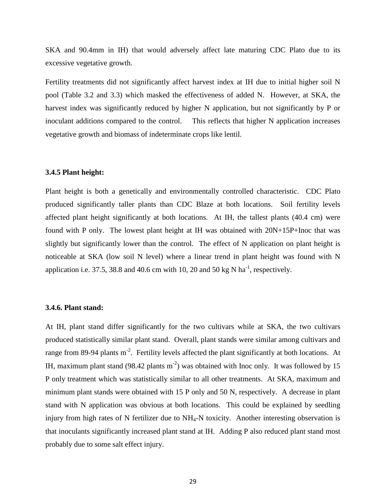SKA and 90.4mm in IH) that would adversely affect late maturing CDC Plato due to its excessive vegetative growth.

Fertility treatments did not significantly affect harvest index at IH due to initial higher soil N pool (Table 3.2 and 3.3) which masked the effectiveness of added N. However, at SKA, the harvest index was significantly reduced by higher N application, but not significantly by P or inoculant additions compared to the control. This reflects that higher N application increases vegetative growth and biomass of indeterminate crops like lentil.

#### **3.4.5 Plant height:**

Plant height is both a genetically and environmentally controlled characteristic. CDC Plato produced significantly taller plants than CDC Blaze at both locations. Soil fertility levels affected plant height significantly at both locations. At IH, the tallest plants (40.4 cm) were found with P only. The lowest plant height at IH was obtained with 20N+15P+Inoc that was slightly but significantly lower than the control. The effect of N application on plant height is noticeable at SKA (low soil N level) where a linear trend in plant height was found with N application i.e. 37.5, 38.8 and 40.6 cm with 10, 20 and 50 kg N ha<sup>-1</sup>, respectively.

# **3.4.6. Plant stand:**

At IH, plant stand differ significantly for the two cultivars while at SKA, the two cultivars produced statistically similar plant stand. Overall, plant stands were similar among cultivars and range from 89-94 plants  $m<sup>-2</sup>$ . Fertility levels affected the plant significantly at both locations. At IH, maximum plant stand (98.42 plants  $m^{-2}$ ) was obtained with Inoc only. It was followed by 15 P only treatment which was statistically similar to all other treatments. At SKA, maximum and minimum plant stands were obtained with 15 P only and 50 N, respectively. A decrease in plant stand with N application was obvious at both locations. This could be explained by seedling injury from high rates of N fertilizer due to NH4-N toxicity. Another interesting observation is that inoculants significantly increased plant stand at IH. Adding P also reduced plant stand most probably due to some salt effect injury.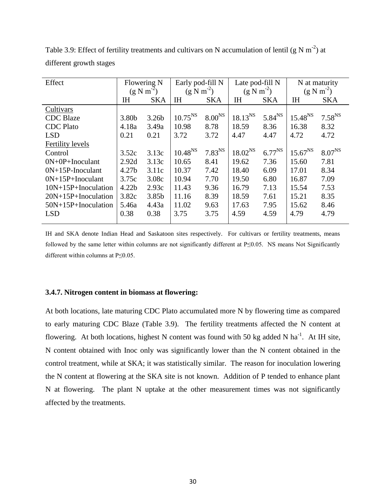| Effect                  | Flowering N<br>$(g N m-2)$ |                   | Early pod-fill N |                    | Late pod-fill N |                    | N at maturity |                    |  |
|-------------------------|----------------------------|-------------------|------------------|--------------------|-----------------|--------------------|---------------|--------------------|--|
|                         |                            |                   |                  | $(g N m-2)$        |                 | $(g N m-2)$        |               | $(g N m-2)$        |  |
|                         | IH                         | <b>SKA</b>        | IH               | <b>SKA</b>         | IH              | <b>SKA</b>         | IH            | <b>SKA</b>         |  |
| Cultivars               |                            |                   |                  |                    |                 |                    |               |                    |  |
| <b>CDC</b> Blaze        | 3.80b                      | 3.26 <sub>b</sub> | $10.75^{NS}$     | 8.00 <sup>NS</sup> | $18.13^{NS}$    | 5.84 <sup>NS</sup> | $15.48^{NS}$  | 7.58 <sup>NS</sup> |  |
| <b>CDC</b> Plato        | 4.18a                      | 3.49a             | 10.98            | 8.78               | 18.59           | 8.36               | 16.38         | 8.32               |  |
| <b>LSD</b>              | 0.21                       | 0.21              | 3.72             | 3.72               | 4.47            | 4.47               | 4.72          | 4.72               |  |
| <b>Fertility levels</b> |                            |                   |                  |                    |                 |                    |               |                    |  |
| Control                 | 3.52c                      | 3.13c             | $10.48^{NS}$     | $7.83^{NS}$        | $18.02^{NS}$    | 6.77 <sup>NS</sup> | $15.67^{NS}$  | 8.07 <sup>NS</sup> |  |
| $ON+OP+Inoculant$       | 2.92d                      | 3.13c             | 10.65            | 8.41               | 19.62           | 7.36               | 15.60         | 7.81               |  |
| $ON+15P$ -Inoculant     | 4.27 <sub>b</sub>          | 3.11c             | 10.37            | 7.42               | 18.40           | 6.09               | 17.01         | 8.34               |  |
| $ON+15P+Inoculant$      | 3.75c                      | 3.08c             | 10.94            | 7.70               | 19.50           | 6.80               | 16.87         | 7.09               |  |
| $10N+15P+Inoculation$   | 4.22b                      | 2.93c             | 11.43            | 9.36               | 16.79           | 7.13               | 15.54         | 7.53               |  |
| $20N+15P+Inoculation$   | 3.82c                      | 3.85b             | 11.16            | 8.39               | 18.59           | 7.61               | 15.21         | 8.35               |  |
| 50N+15P+Inoculation     | 5.46a                      | 4.43a             | 11.02            | 9.63               | 17.63           | 7.95               | 15.62         | 8.46               |  |
| <b>LSD</b>              | 0.38                       | 0.38              | 3.75             | 3.75               | 4.59            | 4.59               | 4.79          | 4.79               |  |
|                         |                            |                   |                  |                    |                 |                    |               |                    |  |

Table 3.9: Effect of fertility treatments and cultivars on N accumulation of lentil (g N m<sup>-2</sup>) at different growth stages

IH and SKA denote Indian Head and Saskatoon sites respectively. For cultivars or fertility treatments, means followed by the same letter within columns are not significantly different at P≤0.05. NS means Not Significantly different within columns at P≤0.05.

# **3.4.7. Nitrogen content in biomass at flowering:**

At both locations, late maturing CDC Plato accumulated more N by flowering time as compared to early maturing CDC Blaze (Table 3.9). The fertility treatments affected the N content at flowering. At both locations, highest N content was found with 50 kg added N ha<sup>-1</sup>. At IH site, N content obtained with Inoc only was significantly lower than the N content obtained in the control treatment, while at SKA; it was statistically similar. The reason for inoculation lowering the N content at flowering at the SKA site is not known. Addition of P tended to enhance plant N at flowering. The plant N uptake at the other measurement times was not significantly affected by the treatments.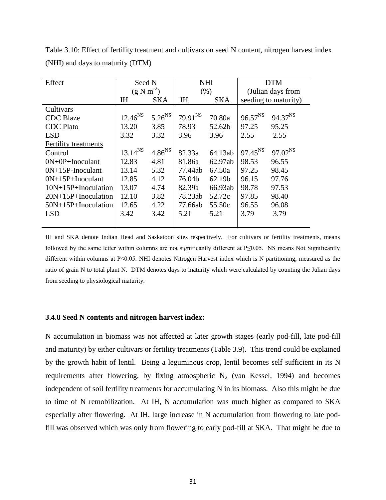Table 3.10: Effect of fertility treatment and cultivars on seed N content, nitrogen harvest index (NHI) and days to maturity (DTM)

| Effect                | Seed N       |                    | <b>NHI</b>     |            |              | <b>DTM</b>           |
|-----------------------|--------------|--------------------|----------------|------------|--------------|----------------------|
|                       | $(g N m-2)$  |                    | (% )           |            |              | (Julian days from    |
|                       | <b>IH</b>    | <b>SKA</b>         | I <sub>H</sub> | <b>SKA</b> |              | seeding to maturity) |
| Cultivars             |              |                    |                |            |              |                      |
| <b>CDC</b> Blaze      | $12.46^{NS}$ | $5.26^{NS}$        | $79.91^{NS}$   | 70.80a     | $96.57^{NS}$ | 94.37 <sup>NS</sup>  |
| <b>CDC</b> Plato      | 13.20        | 3.85               | 78.93          | 52.62b     | 97.25        | 95.25                |
| <b>LSD</b>            | 3.32         | 3.32               | 3.96           | 3.96       | 2.55         | 2.55                 |
| Fertility treatments  |              |                    |                |            |              |                      |
| Control               | $13.14^{NS}$ | 4.86 <sup>NS</sup> | 82.33a         | 64.13ab    | $97.45^{NS}$ | 97.02 <sup>NS</sup>  |
| $ON+OP+Inoculant$     | 12.83        | 4.81               | 81.86a         | 62.97ab    | 98.53        | 96.55                |
| $ON+15P$ -Inoculant   | 13.14        | 5.32               | 77.44ab        | 67.50a     | 97.25        | 98.45                |
| $ON+15P+Inoculant$    | 12.85        | 4.12               | 76.04b         | 62.19b     | 96.15        | 97.76                |
| $10N+15P+Inoculation$ | 13.07        | 4.74               | 82.39a         | 66.93ab    | 98.78        | 97.53                |
| $20N+15P+Inoculation$ | 12.10        | 3.82               | 78.23ab        | 52.72c     | 97.85        | 98.40                |
| 50N+15P+Inoculation   | 12.65        | 4.22               | 77.66ab        | 55.50c     | 96.55        | 96.08                |
| <b>LSD</b>            | 3.42         | 3.42               | 5.21           | 5.21       | 3.79         | 3.79                 |
|                       |              |                    |                |            |              |                      |

IH and SKA denote Indian Head and Saskatoon sites respectively. For cultivars or fertility treatments, means followed by the same letter within columns are not significantly different at P≤0.05. NS means Not Significantly different within columns at P≤0.05. NHI denotes Nitrogen Harvest index which is N partitioning, measured as the ratio of grain N to total plant N. DTM denotes days to maturity which were calculated by counting the Julian days from seeding to physiological maturity.

# **3.4.8 Seed N contents and nitrogen harvest index:**

N accumulation in biomass was not affected at later growth stages (early pod-fill, late pod-fill and maturity) by either cultivars or fertility treatments (Table 3.9). This trend could be explained by the growth habit of lentil. Being a leguminous crop, lentil becomes self sufficient in its N requirements after flowering, by fixing atmospheric  $N_2$  (van Kessel, 1994) and becomes independent of soil fertility treatments for accumulating N in its biomass. Also this might be due to time of N remobilization. At IH, N accumulation was much higher as compared to SKA especially after flowering. At IH, large increase in N accumulation from flowering to late podfill was observed which was only from flowering to early pod-fill at SKA. That might be due to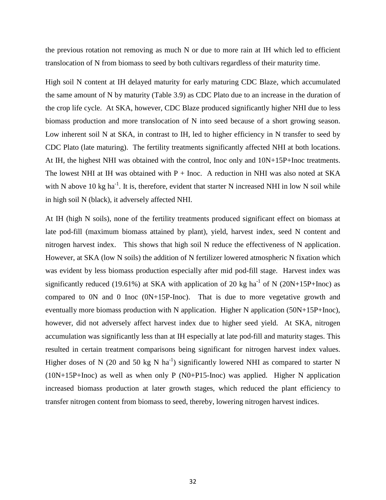the previous rotation not removing as much N or due to more rain at IH which led to efficient translocation of N from biomass to seed by both cultivars regardless of their maturity time.

High soil N content at IH delayed maturity for early maturing CDC Blaze, which accumulated the same amount of N by maturity (Table 3.9) as CDC Plato due to an increase in the duration of the crop life cycle. At SKA, however, CDC Blaze produced significantly higher NHI due to less biomass production and more translocation of N into seed because of a short growing season. Low inherent soil N at SKA, in contrast to IH, led to higher efficiency in N transfer to seed by CDC Plato (late maturing). The fertility treatments significantly affected NHI at both locations. At IH, the highest NHI was obtained with the control, Inoc only and 10N+15P+Inoc treatments. The lowest NHI at IH was obtained with  $P +$  Inoc. A reduction in NHI was also noted at SKA with N above 10 kg ha<sup>-1</sup>. It is, therefore, evident that starter N increased NHI in low N soil while in high soil N (black), it adversely affected NHI.

At IH (high N soils), none of the fertility treatments produced significant effect on biomass at late pod-fill (maximum biomass attained by plant), yield, harvest index, seed N content and nitrogen harvest index. This shows that high soil N reduce the effectiveness of N application. However, at SKA (low N soils) the addition of N fertilizer lowered atmospheric N fixation which was evident by less biomass production especially after mid pod-fill stage. Harvest index was significantly reduced (19.61%) at SKA with application of 20 kg ha<sup>-1</sup> of N (20N+15P+Inoc) as compared to 0N and 0 Inoc (0N+15P-Inoc). That is due to more vegetative growth and eventually more biomass production with N application. Higher N application (50N+15P+Inoc), however, did not adversely affect harvest index due to higher seed yield. At SKA, nitrogen accumulation was significantly less than at IH especially at late pod-fill and maturity stages. This resulted in certain treatment comparisons being significant for nitrogen harvest index values. Higher doses of N (20 and 50 kg N ha<sup>-1</sup>) significantly lowered NHI as compared to starter N (10N+15P+Inoc) as well as when only P (N0+P15-Inoc) was applied. Higher N application increased biomass production at later growth stages, which reduced the plant efficiency to transfer nitrogen content from biomass to seed, thereby, lowering nitrogen harvest indices.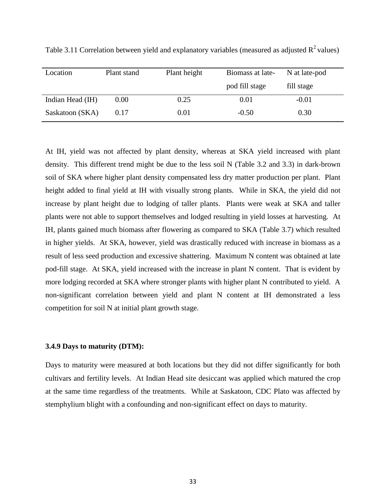| Location         | Plant stand | Plant height | Biomass at late- | N at late-pod |
|------------------|-------------|--------------|------------------|---------------|
|                  |             |              | pod fill stage   | fill stage    |
| Indian Head (IH) | 0.00        | 0.25         | 0.01             | $-0.01$       |
| Saskatoon (SKA)  | 0.17        | 0.01         | $-0.50$          | 0.30          |

Table 3.11 Correlation between yield and explanatory variables (measured as adjusted  $R^2$  values)

At IH, yield was not affected by plant density, whereas at SKA yield increased with plant density. This different trend might be due to the less soil N (Table 3.2 and 3.3) in dark-brown soil of SKA where higher plant density compensated less dry matter production per plant. Plant height added to final yield at IH with visually strong plants. While in SKA, the yield did not increase by plant height due to lodging of taller plants. Plants were weak at SKA and taller plants were not able to support themselves and lodged resulting in yield losses at harvesting. At IH, plants gained much biomass after flowering as compared to SKA (Table 3.7) which resulted in higher yields. At SKA, however, yield was drastically reduced with increase in biomass as a result of less seed production and excessive shattering. Maximum N content was obtained at late pod-fill stage. At SKA, yield increased with the increase in plant N content. That is evident by more lodging recorded at SKA where stronger plants with higher plant N contributed to yield. A non-significant correlation between yield and plant N content at IH demonstrated a less competition for soil N at initial plant growth stage.

#### **3.4.9 Days to maturity (DTM):**

Days to maturity were measured at both locations but they did not differ significantly for both cultivars and fertility levels. At Indian Head site desiccant was applied which matured the crop at the same time regardless of the treatments. While at Saskatoon, CDC Plato was affected by stemphylium blight with a confounding and non-significant effect on days to maturity.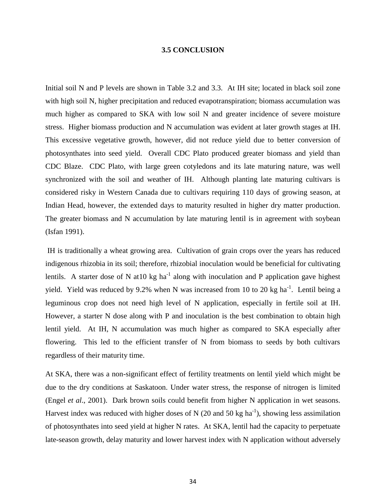## **3.5 CONCLUSION**

Initial soil N and P levels are shown in Table 3.2 and 3.3. At IH site; located in black soil zone with high soil N, higher precipitation and reduced evapotranspiration; biomass accumulation was much higher as compared to SKA with low soil N and greater incidence of severe moisture stress. Higher biomass production and N accumulation was evident at later growth stages at IH. This excessive vegetative growth, however, did not reduce yield due to better conversion of photosynthates into seed yield. Overall CDC Plato produced greater biomass and yield than CDC Blaze. CDC Plato, with large green cotyledons and its late maturing nature, was well synchronized with the soil and weather of IH. Although planting late maturing cultivars is considered risky in Western Canada due to cultivars requiring 110 days of growing season, at Indian Head, however, the extended days to maturity resulted in higher dry matter production. The greater biomass and N accumulation by late maturing lentil is in agreement with soybean (Isfan 1991).

IH is traditionally a wheat growing area. Cultivation of grain crops over the years has reduced indigenous rhizobia in its soil; therefore, rhizobial inoculation would be beneficial for cultivating lentils. A starter dose of N at 10 kg ha<sup>-1</sup> along with inoculation and P application gave highest yield. Yield was reduced by 9.2% when N was increased from 10 to 20 kg ha<sup>-1</sup>. Lentil being a leguminous crop does not need high level of N application, especially in fertile soil at IH. However, a starter N dose along with P and inoculation is the best combination to obtain high lentil yield. At IH, N accumulation was much higher as compared to SKA especially after flowering. This led to the efficient transfer of N from biomass to seeds by both cultivars regardless of their maturity time.

At SKA, there was a non-significant effect of fertility treatments on lentil yield which might be due to the dry conditions at Saskatoon. Under water stress, the response of nitrogen is limited (Engel *et al*., 2001). Dark brown soils could benefit from higher N application in wet seasons. Harvest index was reduced with higher doses of N (20 and 50 kg ha<sup>-1</sup>), showing less assimilation of photosynthates into seed yield at higher N rates. At SKA, lentil had the capacity to perpetuate late-season growth, delay maturity and lower harvest index with N application without adversely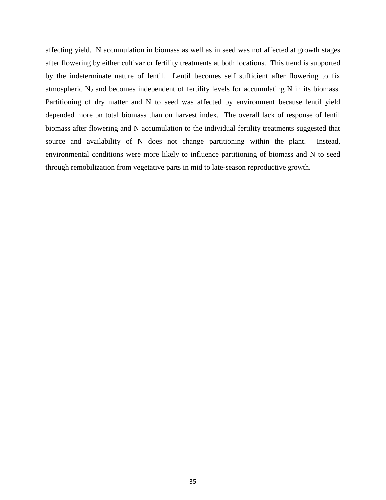affecting yield. N accumulation in biomass as well as in seed was not affected at growth stages after flowering by either cultivar or fertility treatments at both locations. This trend is supported by the indeterminate nature of lentil. Lentil becomes self sufficient after flowering to fix atmospheric  $N_2$  and becomes independent of fertility levels for accumulating N in its biomass. Partitioning of dry matter and N to seed was affected by environment because lentil yield depended more on total biomass than on harvest index. The overall lack of response of lentil biomass after flowering and N accumulation to the individual fertility treatments suggested that source and availability of N does not change partitioning within the plant. Instead, environmental conditions were more likely to influence partitioning of biomass and N to seed through remobilization from vegetative parts in mid to late-season reproductive growth.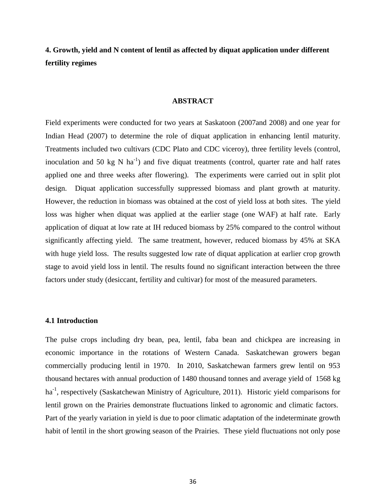**4. Growth, yield and N content of lentil as affected by diquat application under different fertility regimes**

### **ABSTRACT**

Field experiments were conducted for two years at Saskatoon (2007and 2008) and one year for Indian Head (2007) to determine the role of diquat application in enhancing lentil maturity. Treatments included two cultivars (CDC Plato and CDC viceroy), three fertility levels (control, inoculation and 50 kg N  $\text{ha}^{-1}$ ) and five diquat treatments (control, quarter rate and half rates applied one and three weeks after flowering). The experiments were carried out in split plot design. Diquat application successfully suppressed biomass and plant growth at maturity. However, the reduction in biomass was obtained at the cost of yield loss at both sites. The yield loss was higher when diquat was applied at the earlier stage (one WAF) at half rate. Early application of diquat at low rate at IH reduced biomass by 25% compared to the control without significantly affecting yield. The same treatment, however, reduced biomass by 45% at SKA with huge yield loss. The results suggested low rate of diquat application at earlier crop growth stage to avoid yield loss in lentil. The results found no significant interaction between the three factors under study (desiccant, fertility and cultivar) for most of the measured parameters.

### **4.1 Introduction**

The pulse crops including dry bean, pea, lentil, faba bean and chickpea are increasing in economic importance in the rotations of Western Canada. Saskatchewan growers began commercially producing lentil in 1970. In 2010, Saskatchewan farmers grew lentil on 953 thousand hectares with annual production of 1480 thousand tonnes and average yield of 1568 kg ha<sup>-1</sup>, respectively (Saskatchewan Ministry of Agriculture, 2011). Historic yield comparisons for lentil grown on the Prairies demonstrate fluctuations linked to agronomic and climatic factors. Part of the yearly variation in yield is due to poor climatic adaptation of the indeterminate growth habit of lentil in the short growing season of the Prairies. These yield fluctuations not only pose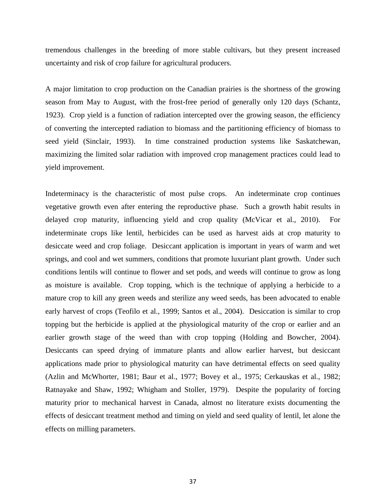tremendous challenges in the breeding of more stable cultivars, but they present increased uncertainty and risk of crop failure for agricultural producers.

A major limitation to crop production on the Canadian prairies is the shortness of the growing season from May to August, with the frost-free period of generally only 120 days (Schantz, 1923). Crop yield is a function of radiation intercepted over the growing season, the efficiency of converting the intercepted radiation to biomass and the partitioning efficiency of biomass to seed yield (Sinclair, 1993). In time constrained production systems like Saskatchewan, maximizing the limited solar radiation with improved crop management practices could lead to yield improvement.

Indeterminacy is the characteristic of most pulse crops. An indeterminate crop continues vegetative growth even after entering the reproductive phase. Such a growth habit results in delayed crop maturity, influencing yield and crop quality (McVicar et al., 2010). For indeterminate crops like lentil, herbicides can be used as harvest aids at crop maturity to desiccate weed and crop foliage. Desiccant application is important in years of warm and wet springs, and cool and wet summers, conditions that promote luxuriant plant growth. Under such conditions lentils will continue to flower and set pods, and weeds will continue to grow as long as moisture is available. Crop topping, which is the technique of applying a herbicide to a mature crop to kill any green weeds and sterilize any weed seeds, has been advocated to enable early harvest of crops (Teofilo et al., 1999; Santos et al., 2004). Desiccation is similar to crop topping but the herbicide is applied at the physiological maturity of the crop or earlier and an earlier growth stage of the weed than with crop topping (Holding and Bowcher, 2004). Desiccants can speed drying of immature plants and allow earlier harvest, but desiccant applications made prior to physiological maturity can have detrimental effects on seed quality (Azlin and McWhorter, 1981; Baur et al., 1977; Bovey et al., 1975; Cerkauskas et al., 1982; Ratnayake and Shaw, 1992; Whigham and Stoller, 1979). Despite the popularity of forcing maturity prior to mechanical harvest in Canada, almost no literature exists documenting the effects of desiccant treatment method and timing on yield and seed quality of lentil, let alone the effects on milling parameters.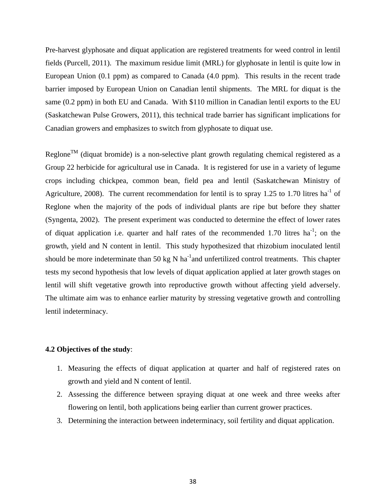Pre-harvest glyphosate and diquat application are registered treatments for weed control in lentil fields (Purcell, 2011). The maximum residue limit (MRL) for glyphosate in lentil is quite low in European Union (0.1 ppm) as compared to Canada (4.0 ppm). This results in the recent trade barrier imposed by European Union on Canadian lentil shipments. The MRL for diquat is the same (0.2 ppm) in both EU and Canada. With \$110 million in Canadian lentil exports to the EU (Saskatchewan Pulse Growers, 2011), this technical trade barrier has significant implications for Canadian growers and emphasizes to switch from glyphosate to diquat use.

Reglone<sup>TM</sup> (diquat bromide) is a non-selective plant growth regulating chemical registered as a Group 22 herbicide for agricultural use in Canada. It is registered for use in a variety of legume crops including chickpea, common bean, field pea and lentil (Saskatchewan Ministry of Agriculture, 2008). The current recommendation for lentil is to spray 1.25 to 1.70 litres ha<sup>-1</sup> of Reglone when the majority of the pods of individual plants are ripe but before they shatter (Syngenta, 2002). The present experiment was conducted to determine the effect of lower rates of diquat application i.e. quarter and half rates of the recommended 1.70 litres  $ha^{-1}$ ; on the growth, yield and N content in lentil. This study hypothesized that rhizobium inoculated lentil should be more indeterminate than 50 kg N ha<sup>-1</sup> and unfertilized control treatments. This chapter tests my second hypothesis that low levels of diquat application applied at later growth stages on lentil will shift vegetative growth into reproductive growth without affecting yield adversely. The ultimate aim was to enhance earlier maturity by stressing vegetative growth and controlling lentil indeterminacy.

# **4.2 Objectives of the study**:

- 1. Measuring the effects of diquat application at quarter and half of registered rates on growth and yield and N content of lentil.
- 2. Assessing the difference between spraying diquat at one week and three weeks after flowering on lentil, both applications being earlier than current grower practices.
- 3. Determining the interaction between indeterminacy, soil fertility and diquat application.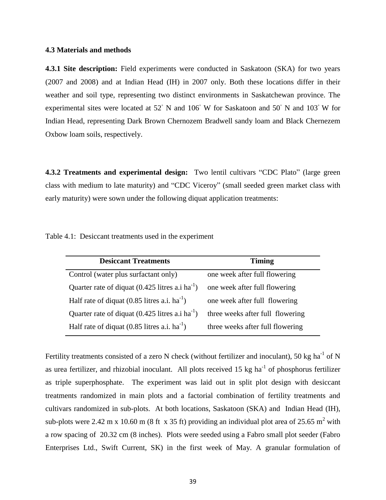### **4.3 Materials and methods**

**4.3.1 Site description:** Field experiments were conducted in Saskatoon (SKA) for two years (2007 and 2008) and at Indian Head (IH) in 2007 only. Both these locations differ in their weather and soil type, representing two distinct environments in Saskatchewan province. The experimental sites were located at 52◦ N and 106◦ W for Saskatoon and 50◦ N and 103◦ W for Indian Head, representing Dark Brown Chernozem Bradwell sandy loam and Black Chernezem Oxbow loam soils, respectively.

**4.3.2 Treatments and experimental design:** Two lentil cultivars "CDC Plato" (large green class with medium to late maturity) and "CDC Viceroy" (small seeded green market class with early maturity) were sown under the following diquat application treatments:

|  | Table 4.1: Desiccant treatments used in the experiment |  |  |
|--|--------------------------------------------------------|--|--|
|--|--------------------------------------------------------|--|--|

| <b>Desiccant Treatments</b>                                   | <b>Timing</b>                    |
|---------------------------------------------------------------|----------------------------------|
| Control (water plus surfactant only)                          | one week after full flowering    |
| Quarter rate of diquat $(0.425$ litres a.i ha <sup>-1</sup> ) | one week after full flowering    |
| Half rate of diquat $(0.85$ litres a.i. ha <sup>-1</sup> )    | one week after full flowering    |
| Quarter rate of diquat $(0.425$ litres a.i ha <sup>-1</sup> ) | three weeks after full flowering |
| Half rate of diquat $(0.85$ litres a.i. ha <sup>-1</sup> )    | three weeks after full flowering |

Fertility treatments consisted of a zero N check (without fertilizer and inoculant), 50 kg ha<sup>-1</sup> of N as urea fertilizer, and rhizobial inoculant. All plots received 15 kg  $ha^{-1}$  of phosphorus fertilizer as triple superphosphate. The experiment was laid out in split plot design with desiccant treatments randomized in main plots and a factorial combination of fertility treatments and cultivars randomized in sub-plots. At both locations, Saskatoon (SKA) and Indian Head (IH), sub-plots were 2.42 m x 10.60 m (8 ft x 35 ft) providing an individual plot area of 25.65 m<sup>2</sup> with a row spacing of 20.32 cm (8 inches). Plots were seeded using a Fabro small plot seeder (Fabro Enterprises Ltd., Swift Current, SK) in the first week of May. A granular formulation of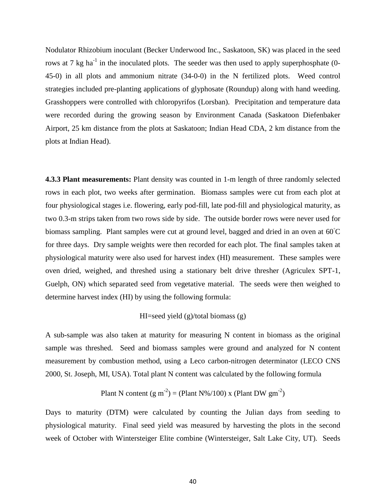Nodulator Rhizobium inoculant (Becker Underwood Inc., Saskatoon, SK) was placed in the seed rows at 7 kg ha<sup>-1</sup> in the inoculated plots. The seeder was then used to apply superphosphate  $(0-$ 45-0) in all plots and ammonium nitrate (34-0-0) in the N fertilized plots. Weed control strategies included pre-planting applications of glyphosate (Roundup) along with hand weeding. Grasshoppers were controlled with chloropyrifos (Lorsban). Precipitation and temperature data were recorded during the growing season by Environment Canada (Saskatoon Diefenbaker Airport, 25 km distance from the plots at Saskatoon; Indian Head CDA, 2 km distance from the plots at Indian Head).

**4.3.3 Plant measurements:** Plant density was counted in 1-m length of three randomly selected rows in each plot, two weeks after germination. Biomass samples were cut from each plot at four physiological stages i.e. flowering, early pod-fill, late pod-fill and physiological maturity, as two 0.3-m strips taken from two rows side by side. The outside border rows were never used for biomass sampling. Plant samples were cut at ground level, bagged and dried in an oven at 60◦C for three days. Dry sample weights were then recorded for each plot. The final samples taken at physiological maturity were also used for harvest index (HI) measurement. These samples were oven dried, weighed, and threshed using a stationary belt drive thresher (Agriculex SPT-1, Guelph, ON) which separated seed from vegetative material. The seeds were then weighed to determine harvest index (HI) by using the following formula:

# HI=seed yield  $(g)/\text{total biomass}(g)$

A sub-sample was also taken at maturity for measuring N content in biomass as the original sample was threshed. Seed and biomass samples were ground and analyzed for N content measurement by combustion method, using a Leco carbon-nitrogen determinator (LECO CNS 2000, St. Joseph, MI, USA). Total plant N content was calculated by the following formula

Plant N content (g m-2 ) = (Plant N%/100) x (Plant DW gm-2 )

Days to maturity (DTM) were calculated by counting the Julian days from seeding to physiological maturity. Final seed yield was measured by harvesting the plots in the second week of October with Wintersteiger Elite combine (Wintersteiger, Salt Lake City, UT). Seeds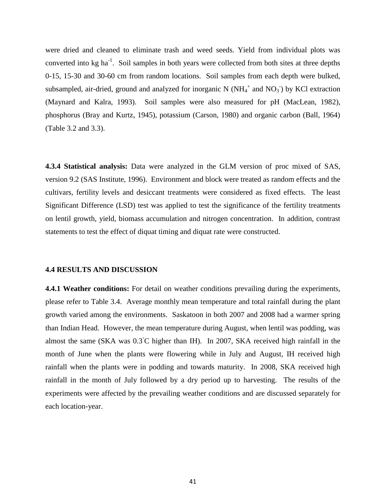were dried and cleaned to eliminate trash and weed seeds. Yield from individual plots was converted into kg ha<sup>-1</sup>. Soil samples in both years were collected from both sites at three depths 0-15, 15-30 and 30-60 cm from random locations. Soil samples from each depth were bulked, subsampled, air-dried, ground and analyzed for inorganic N ( $NH_4^+$  and  $NO_3$ ) by KCl extraction (Maynard and Kalra, 1993). Soil samples were also measured for pH (MacLean, 1982), phosphorus (Bray and Kurtz, 1945), potassium (Carson, 1980) and organic carbon (Ball, 1964) (Table 3.2 and 3.3).

**4.3.4 Statistical analysis:** Data were analyzed in the GLM version of proc mixed of SAS, version 9.2 (SAS Institute, 1996). Environment and block were treated as random effects and the cultivars, fertility levels and desiccant treatments were considered as fixed effects. The least Significant Difference (LSD) test was applied to test the significance of the fertility treatments on lentil growth, yield, biomass accumulation and nitrogen concentration. In addition, contrast statements to test the effect of diquat timing and diquat rate were constructed.

# **4.4 RESULTS AND DISCUSSION**

**4.4.1 Weather conditions:** For detail on weather conditions prevailing during the experiments, please refer to Table 3.4. Average monthly mean temperature and total rainfall during the plant growth varied among the environments. Saskatoon in both 2007 and 2008 had a warmer spring than Indian Head. However, the mean temperature during August, when lentil was podding, was almost the same (SKA was 0.3◦C higher than IH). In 2007, SKA received high rainfall in the month of June when the plants were flowering while in July and August, IH received high rainfall when the plants were in podding and towards maturity. In 2008, SKA received high rainfall in the month of July followed by a dry period up to harvesting. The results of the experiments were affected by the prevailing weather conditions and are discussed separately for each location-year.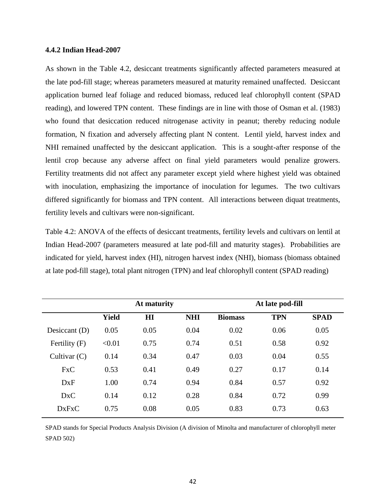### **4.4.2 Indian Head-2007**

As shown in the Table 4.2, desiccant treatments significantly affected parameters measured at the late pod-fill stage; whereas parameters measured at maturity remained unaffected. Desiccant application burned leaf foliage and reduced biomass, reduced leaf chlorophyll content (SPAD reading), and lowered TPN content. These findings are in line with those of Osman et al. (1983) who found that desiccation reduced nitrogenase activity in peanut; thereby reducing nodule formation, N fixation and adversely affecting plant N content. Lentil yield, harvest index and NHI remained unaffected by the desiccant application. This is a sought-after response of the lentil crop because any adverse affect on final yield parameters would penalize growers. Fertility treatments did not affect any parameter except yield where highest yield was obtained with inoculation, emphasizing the importance of inoculation for legumes. The two cultivars differed significantly for biomass and TPN content. All interactions between diquat treatments, fertility levels and cultivars were non-significant.

Table 4.2: ANOVA of the effects of desiccant treatments, fertility levels and cultivars on lentil at Indian Head-2007 (parameters measured at late pod-fill and maturity stages). Probabilities are indicated for yield, harvest index (HI), nitrogen harvest index (NHI), biomass (biomass obtained at late pod-fill stage), total plant nitrogen (TPN) and leaf chlorophyll content (SPAD reading)

|                 |              | At maturity |            |                | At late pod-fill |             |
|-----------------|--------------|-------------|------------|----------------|------------------|-------------|
|                 | <b>Yield</b> | HI          | <b>NHI</b> | <b>Biomass</b> | <b>TPN</b>       | <b>SPAD</b> |
| Desiccant $(D)$ | 0.05         | 0.05        | 0.04       | 0.02           | 0.06             | 0.05        |
| Fertility (F)   | < 0.01       | 0.75        | 0.74       | 0.51           | 0.58             | 0.92        |
| Cultivar $(C)$  | 0.14         | 0.34        | 0.47       | 0.03           | 0.04             | 0.55        |
| <b>FxC</b>      | 0.53         | 0.41        | 0.49       | 0.27           | 0.17             | 0.14        |
| DxF             | 1.00         | 0.74        | 0.94       | 0.84           | 0.57             | 0.92        |
| <b>DxC</b>      | 0.14         | 0.12        | 0.28       | 0.84           | 0.72             | 0.99        |
| <b>DxFxC</b>    | 0.75         | 0.08        | 0.05       | 0.83           | 0.73             | 0.63        |

SPAD stands for Special Products Analysis Division (A division of Minolta and manufacturer of chlorophyll meter SPAD 502)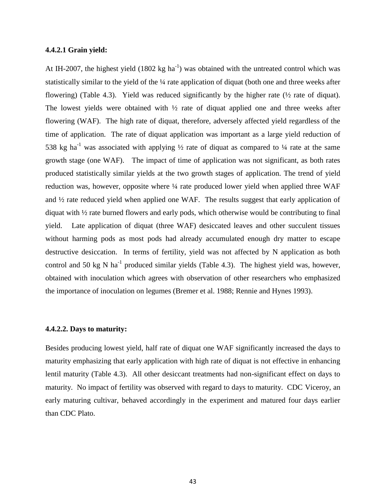### **4.4.2.1 Grain yield:**

At IH-2007, the highest yield  $(1802 \text{ kg ha}^{-1})$  was obtained with the untreated control which was statistically similar to the yield of the ¼ rate application of diquat (both one and three weeks after flowering) (Table 4.3). Yield was reduced significantly by the higher rate  $\frac{1}{2}$  rate of diquat). The lowest yields were obtained with  $\frac{1}{2}$  rate of diquat applied one and three weeks after flowering (WAF). The high rate of diquat, therefore, adversely affected yield regardless of the time of application. The rate of diquat application was important as a large yield reduction of 538 kg ha<sup>-1</sup> was associated with applying  $\frac{1}{2}$  rate of diquat as compared to  $\frac{1}{4}$  rate at the same growth stage (one WAF). The impact of time of application was not significant, as both rates produced statistically similar yields at the two growth stages of application. The trend of yield reduction was, however, opposite where ¼ rate produced lower yield when applied three WAF and ½ rate reduced yield when applied one WAF. The results suggest that early application of diquat with ½ rate burned flowers and early pods, which otherwise would be contributing to final yield. Late application of diquat (three WAF) desiccated leaves and other succulent tissues without harming pods as most pods had already accumulated enough dry matter to escape destructive desiccation. In terms of fertility, yield was not affected by N application as both control and 50 kg N ha<sup>-1</sup> produced similar yields (Table 4.3). The highest yield was, however, obtained with inoculation which agrees with observation of other researchers who emphasized the importance of inoculation on legumes (Bremer et al. 1988; Rennie and Hynes 1993).

#### **4.4.2.2. Days to maturity:**

Besides producing lowest yield, half rate of diquat one WAF significantly increased the days to maturity emphasizing that early application with high rate of diquat is not effective in enhancing lentil maturity (Table 4.3). All other desiccant treatments had non-significant effect on days to maturity. No impact of fertility was observed with regard to days to maturity. CDC Viceroy, an early maturing cultivar, behaved accordingly in the experiment and matured four days earlier than CDC Plato.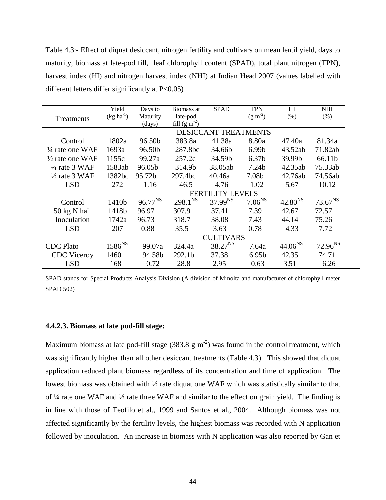Table 4.3:- Effect of diquat desiccant, nitrogen fertility and cultivars on mean lentil yield, days to maturity, biomass at late-pod fill, leaf chlorophyll content (SPAD), total plant nitrogen (TPN), harvest index (HI) and nitrogen harvest index (NHI) at Indian Head 2007 (values labelled with different letters differ significantly at  $P<0.05$ )

| Treatments                 | Yield<br>$(kg ha^{-1})$ | Days to<br>Maturity<br>(days) | Biomass at<br>late-pod<br>fill $(g m-2)$ | <b>SPAD</b>             | <b>TPN</b><br>$(g m-2)$ | H I<br>(% )  | <b>NHI</b><br>(% ) |
|----------------------------|-------------------------|-------------------------------|------------------------------------------|-------------------------|-------------------------|--------------|--------------------|
|                            |                         |                               |                                          | DESICCANT TREATMENTS    |                         |              |                    |
| Control                    | 1802a                   | 96.50b                        | 383.8a                                   | 41.38a                  | 8.80a                   | 47.40a       | 81.34a             |
| $\frac{1}{4}$ rate one WAF | 1693a                   | 96.50b                        | 287.8bc                                  | 34.66b                  | 6.99b                   | 43.52ab      | 71.82ab            |
| $\frac{1}{2}$ rate one WAF | 1155c                   | 99.27a                        | 257.2c                                   | 34.59b                  | 6.37 <sub>b</sub>       | 39.99b       | 66.11b             |
| $\frac{1}{4}$ rate 3 WAF   | 1583ab                  | 96.05b                        | 314.9b                                   | 38.05ab                 | 7.24 <sub>b</sub>       | 42.35ab      | 75.33ab            |
| $\frac{1}{2}$ rate 3 WAF   | 1382bc                  | 95.72b                        | 297.4bc                                  | 40.46a                  | 7.08b                   | 42.76ab      | 74.56ab            |
| <b>LSD</b>                 | 272                     | 1.16                          | 46.5                                     | 4.76                    | 1.02                    | 5.67         | 10.12              |
|                            |                         |                               |                                          | <b>FERTILITY LEVELS</b> |                         |              |                    |
| Control                    | 1410b                   | $96.77^{NS}$                  | $298.1^{NS}$                             | 37.99 <sup>NS</sup>     | 7.06 <sup>NS</sup>      | $42.80^{NS}$ | $73.67^{NS}$       |
| 50 kg N $ha^{-1}$          | 1418b                   | 96.97                         | 307.9                                    | 37.41                   | 7.39                    | 42.67        | 72.57              |
| Inoculation                | 1742a                   | 96.73                         | 318.7                                    | 38.08                   | 7.43                    | 44.14        | 75.26              |
| <b>LSD</b>                 | 207                     | 0.88                          | 35.5                                     | 3.63                    | 0.78                    | 4.33         | 7.72               |
|                            |                         |                               |                                          | <b>CULTIVARS</b>        |                         |              |                    |
| <b>CDC</b> Plato           | 1586 <sup>NS</sup>      | 99.07a                        | 324.4a                                   | $38.27^{NS}$            | 7.64a                   | $44.06^{NS}$ | $72.96^{NS}$       |
| <b>CDC</b> Viceroy         | 1460                    | 94.58b                        | 292.1b                                   | 37.38                   | 6.95 <sub>b</sub>       | 42.35        | 74.71              |
| <b>LSD</b>                 | 168                     | 0.72                          | 28.8                                     | 2.95                    | 0.63                    | 3.51         | 6.26               |

SPAD stands for Special Products Analysis Division (A division of Minolta and manufacturer of chlorophyll meter SPAD 502)

# **4.4.2.3. Biomass at late pod-fill stage:**

Maximum biomass at late pod-fill stage (383.8 g m<sup>-2</sup>) was found in the control treatment, which was significantly higher than all other desiccant treatments (Table 4.3). This showed that diquat application reduced plant biomass regardless of its concentration and time of application. The lowest biomass was obtained with ½ rate diquat one WAF which was statistically similar to that of ¼ rate one WAF and ½ rate three WAF and similar to the effect on grain yield. The finding is in line with those of Teofilo et al., 1999 and Santos et al., 2004. Although biomass was not affected significantly by the fertility levels, the highest biomass was recorded with N application followed by inoculation. An increase in biomass with N application was also reported by Gan et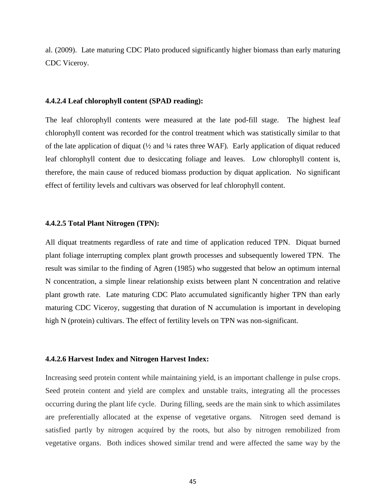al. (2009). Late maturing CDC Plato produced significantly higher biomass than early maturing CDC Viceroy.

### **4.4.2.4 Leaf chlorophyll content (SPAD reading):**

The leaf chlorophyll contents were measured at the late pod-fill stage. The highest leaf chlorophyll content was recorded for the control treatment which was statistically similar to that of the late application of diquat  $\frac{1}{2}$  and  $\frac{1}{4}$  rates three WAF). Early application of diquat reduced leaf chlorophyll content due to desiccating foliage and leaves. Low chlorophyll content is, therefore, the main cause of reduced biomass production by diquat application. No significant effect of fertility levels and cultivars was observed for leaf chlorophyll content.

### **4.4.2.5 Total Plant Nitrogen (TPN):**

All diquat treatments regardless of rate and time of application reduced TPN. Diquat burned plant foliage interrupting complex plant growth processes and subsequently lowered TPN. The result was similar to the finding of Agren (1985) who suggested that below an optimum internal N concentration, a simple linear relationship exists between plant N concentration and relative plant growth rate. Late maturing CDC Plato accumulated significantly higher TPN than early maturing CDC Viceroy, suggesting that duration of N accumulation is important in developing high N (protein) cultivars. The effect of fertility levels on TPN was non-significant.

### **4.4.2.6 Harvest Index and Nitrogen Harvest Index:**

Increasing seed protein content while maintaining yield, is an important challenge in pulse crops. Seed protein content and yield are complex and unstable traits, integrating all the processes occurring during the plant life cycle. During filling, seeds are the main sink to which assimilates are preferentially allocated at the expense of vegetative organs. Nitrogen seed demand is satisfied partly by nitrogen acquired by the roots, but also by nitrogen remobilized from vegetative organs. Both indices showed similar trend and were affected the same way by the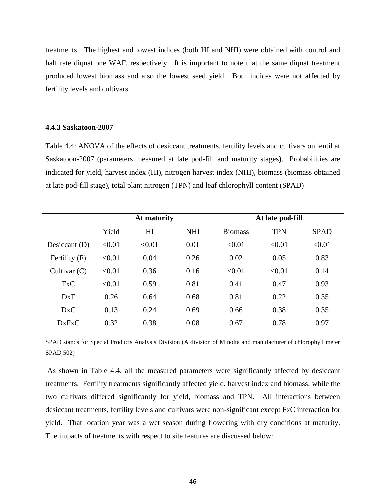treatments. The highest and lowest indices (both HI and NHI) were obtained with control and half rate diquat one WAF, respectively. It is important to note that the same diquat treatment produced lowest biomass and also the lowest seed yield. Both indices were not affected by fertility levels and cultivars.

### **4.4.3 Saskatoon-2007**

Table 4.4: ANOVA of the effects of desiccant treatments, fertility levels and cultivars on lentil at Saskatoon-2007 (parameters measured at late pod-fill and maturity stages). Probabilities are indicated for yield, harvest index (HI), nitrogen harvest index (NHI), biomass (biomass obtained at late pod-fill stage), total plant nitrogen (TPN) and leaf chlorophyll content (SPAD)

|                 |        | At maturity |            |                | At late pod-fill |             |
|-----------------|--------|-------------|------------|----------------|------------------|-------------|
|                 | Yield  | H I         | <b>NHI</b> | <b>Biomass</b> | <b>TPN</b>       | <b>SPAD</b> |
| Desiccant $(D)$ | < 0.01 | < 0.01      | 0.01       | < 0.01         | < 0.01           | < 0.01      |
| Fertility (F)   | < 0.01 | 0.04        | 0.26       | 0.02           | 0.05             | 0.83        |
| Cultivar $(C)$  | < 0.01 | 0.36        | 0.16       | < 0.01         | < 0.01           | 0.14        |
| <b>FxC</b>      | < 0.01 | 0.59        | 0.81       | 0.41           | 0.47             | 0.93        |
| DxF             | 0.26   | 0.64        | 0.68       | 0.81           | 0.22             | 0.35        |
| <b>DxC</b>      | 0.13   | 0.24        | 0.69       | 0.66           | 0.38             | 0.35        |
| <b>DxFxC</b>    | 0.32   | 0.38        | 0.08       | 0.67           | 0.78             | 0.97        |

SPAD stands for Special Products Analysis Division (A division of Minolta and manufacturer of chlorophyll meter SPAD 502)

As shown in Table 4.4, all the measured parameters were significantly affected by desiccant treatments. Fertility treatments significantly affected yield, harvest index and biomass; while the two cultivars differed significantly for yield, biomass and TPN. All interactions between desiccant treatments, fertility levels and cultivars were non-significant except FxC interaction for yield. That location year was a wet season during flowering with dry conditions at maturity. The impacts of treatments with respect to site features are discussed below: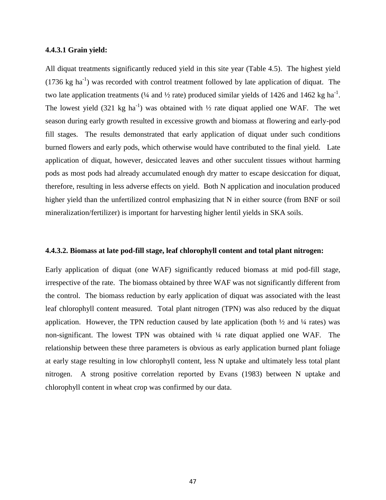### **4.4.3.1 Grain yield:**

All diquat treatments significantly reduced yield in this site year (Table 4.5). The highest yield  $(1736 \text{ kg ha}^{-1})$  was recorded with control treatment followed by late application of diquat. The two late application treatments ( $\frac{1}{4}$  and  $\frac{1}{2}$  rate) produced similar yields of 1426 and 1462 kg ha<sup>-1</sup>. The lowest yield (321 kg ha<sup>-1</sup>) was obtained with  $\frac{1}{2}$  rate diquat applied one WAF. The wet season during early growth resulted in excessive growth and biomass at flowering and early-pod fill stages. The results demonstrated that early application of diquat under such conditions burned flowers and early pods, which otherwise would have contributed to the final yield. Late application of diquat, however, desiccated leaves and other succulent tissues without harming pods as most pods had already accumulated enough dry matter to escape desiccation for diquat, therefore, resulting in less adverse effects on yield. Both N application and inoculation produced higher yield than the unfertilized control emphasizing that N in either source (from BNF or soil mineralization/fertilizer) is important for harvesting higher lentil yields in SKA soils.

### **4.4.3.2. Biomass at late pod-fill stage, leaf chlorophyll content and total plant nitrogen:**

Early application of diquat (one WAF) significantly reduced biomass at mid pod-fill stage, irrespective of the rate. The biomass obtained by three WAF was not significantly different from the control. The biomass reduction by early application of diquat was associated with the least leaf chlorophyll content measured. Total plant nitrogen (TPN) was also reduced by the diquat application. However, the TPN reduction caused by late application (both  $\frac{1}{2}$  and  $\frac{1}{4}$  rates) was non-significant. The lowest TPN was obtained with <sup>1</sup>/4 rate diquat applied one WAF. The relationship between these three parameters is obvious as early application burned plant foliage at early stage resulting in low chlorophyll content, less N uptake and ultimately less total plant nitrogen. A strong positive correlation reported by Evans (1983) between N uptake and chlorophyll content in wheat crop was confirmed by our data.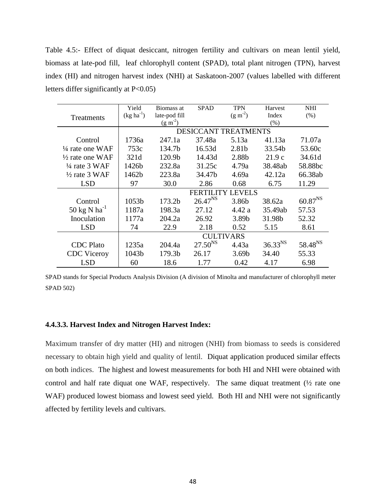Table 4.5:- Effect of diquat desiccant, nitrogen fertility and cultivars on mean lentil yield, biomass at late-pod fill, leaf chlorophyll content (SPAD), total plant nitrogen (TPN), harvest index (HI) and nitrogen harvest index (NHI) at Saskatoon-2007 (values labelled with different letters differ significantly at P<0.05)

|                            | Yield                       | Biomass at    | <b>SPAD</b>      | <b>TPN</b>        | Harvest      | <b>NHI</b>          |
|----------------------------|-----------------------------|---------------|------------------|-------------------|--------------|---------------------|
| Treatments                 | $(kg ha^{-1})$              | late-pod fill |                  | $(g m-2)$         | Index        | (% )                |
|                            |                             | $(g m^{-2})$  |                  |                   | (% )         |                     |
|                            | <b>DESICCANT TREATMENTS</b> |               |                  |                   |              |                     |
| Control                    | 1736a                       | 247.1a        | 37.48a           | 5.13a             | 41.13a       | 71.07a              |
| $\frac{1}{4}$ rate one WAF | 753c                        | 134.7b        | 16.53d           | 2.81b             | 33.54b       | 53.60c              |
| $\frac{1}{2}$ rate one WAF | 321d                        | 120.9b        | 14.43d           | 2.88b             | 21.9c        | 34.61d              |
| $\frac{1}{4}$ rate 3 WAF   | 1426b                       | 232.8a        | 31.25c           | 4.79a             | 38.48ab      | 58.88bc             |
| $\frac{1}{2}$ rate 3 WAF   | 1462b                       | 223.8a        | 34.47b           | 4.69a             | 42.12a       | 66.38ab             |
| <b>LSD</b>                 | 97                          | 30.0          | 2.86             | 0.68              | 6.75         | 11.29               |
|                            |                             |               | FERTILITY LEVELS |                   |              |                     |
| Control                    | 1053b                       | 173.2b        | $26.47^{NS}$     | 3.86b             | 38.62a       | $60.87^{NS}$        |
| 50 kg N $ha^{-1}$          | 1187a                       | 198.3a        | 27.12            | 4.42a             | 35.49ab      | 57.53               |
| Inoculation                | 1177a                       | 204.2a        | 26.92            | 3.89b             | 31.98b       | 52.32               |
| <b>LSD</b>                 | 74                          | 22.9          | 2.18             | 0.52              | 5.15         | 8.61                |
|                            |                             |               | <b>CULTIVARS</b> |                   |              |                     |
| <b>CDC</b> Plato           | 1235a                       | 204.4a        | $27.50^{NS}$     | 4.43a             | $36.33^{NS}$ | 58.48 <sup>NS</sup> |
| <b>CDC</b> Viceroy         | 1043b                       | 179.3b        | 26.17            | 3.69 <sub>b</sub> | 34.40        | 55.33               |
| <b>LSD</b>                 | 60                          | 18.6          | 1.77             | 0.42              | 4.17         | 6.98                |

SPAD stands for Special Products Analysis Division (A division of Minolta and manufacturer of chlorophyll meter SPAD 502)

# **4.4.3.3. Harvest Index and Nitrogen Harvest Index:**

Maximum transfer of dry matter (HI) and nitrogen (NHI) from biomass to seeds is considered necessary to obtain high yield and quality of lentil. Diquat application produced similar effects on both indices. The highest and lowest measurements for both HI and NHI were obtained with control and half rate diquat one WAF, respectively. The same diquat treatment  $(½ \text{ rate one})$ WAF) produced lowest biomass and lowest seed yield. Both HI and NHI were not significantly affected by fertility levels and cultivars.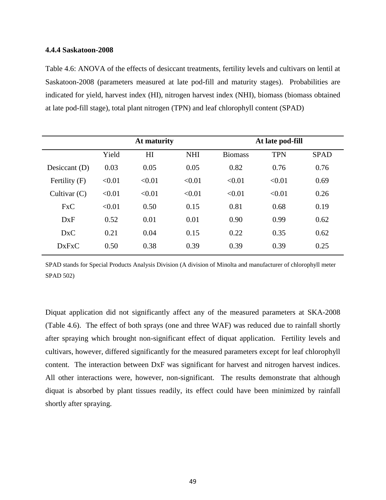### **4.4.4 Saskatoon-2008**

Table 4.6: ANOVA of the effects of desiccant treatments, fertility levels and cultivars on lentil at Saskatoon-2008 (parameters measured at late pod-fill and maturity stages). Probabilities are indicated for yield, harvest index (HI), nitrogen harvest index (NHI), biomass (biomass obtained at late pod-fill stage), total plant nitrogen (TPN) and leaf chlorophyll content (SPAD)

|        |                |            | At late pod-fill |            |             |  |
|--------|----------------|------------|------------------|------------|-------------|--|
| Yield  | H <sub>I</sub> | <b>NHI</b> | <b>Biomass</b>   | <b>TPN</b> | <b>SPAD</b> |  |
| 0.03   | 0.05           | 0.05       | 0.82             | 0.76       | 0.76        |  |
| < 0.01 | < 0.01         | < 0.01     | < 0.01           | < 0.01     | 0.69        |  |
| < 0.01 | < 0.01         | < 0.01     | < 0.01           | < 0.01     | 0.26        |  |
| < 0.01 | 0.50           | 0.15       | 0.81             | 0.68       | 0.19        |  |
| 0.52   | 0.01           | 0.01       | 0.90             | 0.99       | 0.62        |  |
| 0.21   | 0.04           | 0.15       | 0.22             | 0.35       | 0.62        |  |
| 0.50   | 0.38           | 0.39       | 0.39             | 0.39       | 0.25        |  |
|        |                |            | At maturity      |            |             |  |

SPAD stands for Special Products Analysis Division (A division of Minolta and manufacturer of chlorophyll meter SPAD 502)

Diquat application did not significantly affect any of the measured parameters at SKA-2008 (Table 4.6). The effect of both sprays (one and three WAF) was reduced due to rainfall shortly after spraying which brought non-significant effect of diquat application. Fertility levels and cultivars, however, differed significantly for the measured parameters except for leaf chlorophyll content. The interaction between DxF was significant for harvest and nitrogen harvest indices. All other interactions were, however, non-significant. The results demonstrate that although diquat is absorbed by plant tissues readily, its effect could have been minimized by rainfall shortly after spraying.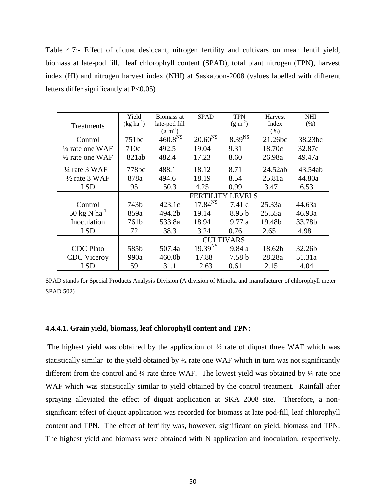Table 4.7:- Effect of diquat desiccant, nitrogen fertility and cultivars on mean lentil yield, biomass at late-pod fill, leaf chlorophyll content (SPAD), total plant nitrogen (TPN), harvest index (HI) and nitrogen harvest index (NHI) at Saskatoon-2008 (values labelled with different letters differ significantly at P<0.05)

|                            | Yield          | Biomass at    | <b>SPAD</b>             | <b>TPN</b>        | Harvest | <b>NHI</b> |
|----------------------------|----------------|---------------|-------------------------|-------------------|---------|------------|
| Treatments                 | $(kg ha^{-1})$ | late-pod fill |                         | $(g m-2)$         | Index   | (% )       |
|                            |                | $(g m-2)$     |                         |                   | $(\%)$  |            |
| Control                    | 751bc          | $460.8^{NS}$  | $20.60^{N_S}$           | $8.39^{NS}$       | 21.26bc | 38.23bc    |
| $\frac{1}{4}$ rate one WAF | 710c           | 492.5         | 19.04                   | 9.31              | 18.70c  | 32.87c     |
| $\frac{1}{2}$ rate one WAF | 821ab          | 482.4         | 17.23                   | 8.60              | 26.98a  | 49.47a     |
| $\frac{1}{4}$ rate 3 WAF   | 778bc          | 488.1         | 18.12                   | 8.71              | 24.52ab | 43.54ab    |
| $\frac{1}{2}$ rate 3 WAF   | 878a           | 494.6         | 18.19                   | 8.54              | 25.81a  | 44.80a     |
| <b>LSD</b>                 | 95             | 50.3          | 4.25                    | 0.99              | 3.47    | 6.53       |
|                            |                |               | <b>FERTILITY LEVELS</b> |                   |         |            |
| Control                    | 743b           | 423.1c        | $17.84^{NS}$            | 7.41c             | 25.33a  | 44.63a     |
| 50 kg N $ha^{-1}$          | 859a           | 494.2b        | 19.14                   | 8.95 <sub>b</sub> | 25.55a  | 46.93a     |
| Inoculation                | 761b           | 533.8a        | 18.94                   | 9.77 a            | 19.48b  | 33.78b     |
| <b>LSD</b>                 | 72             | 38.3          | 3.24                    | 0.76              | 2.65    | 4.98       |
|                            |                |               |                         | <b>CULTIVARS</b>  |         |            |
| <b>CDC</b> Plato           | 585b           | 507.4a        | $19.39^{NS}$            | 9.84a             | 18.62b  | 32.26b     |
| <b>CDC</b> Viceroy         | 990a           | 460.0b        | 17.88                   | 7.58 <sub>b</sub> | 28.28a  | 51.31a     |
| <b>LSD</b>                 | 59             | 31.1          | 2.63                    | 0.61              | 2.15    | 4.04       |

SPAD stands for Special Products Analysis Division (A division of Minolta and manufacturer of chlorophyll meter SPAD 502)

### **4.4.4.1. Grain yield, biomass, leaf chlorophyll content and TPN:**

The highest yield was obtained by the application of  $\frac{1}{2}$  rate of diquat three WAF which was statistically similar to the yield obtained by ½ rate one WAF which in turn was not significantly different from the control and  $\frac{1}{4}$  rate three WAF. The lowest yield was obtained by  $\frac{1}{4}$  rate one WAF which was statistically similar to yield obtained by the control treatment. Rainfall after spraying alleviated the effect of diquat application at SKA 2008 site. Therefore, a nonsignificant effect of diquat application was recorded for biomass at late pod-fill, leaf chlorophyll content and TPN. The effect of fertility was, however, significant on yield, biomass and TPN. The highest yield and biomass were obtained with N application and inoculation, respectively.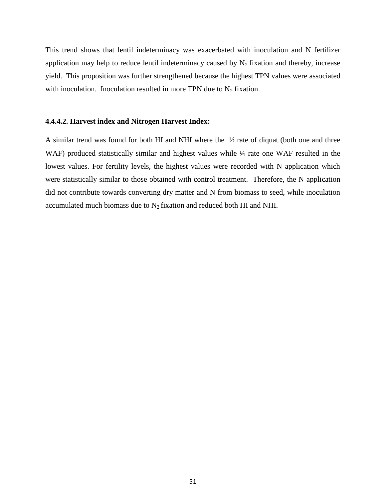This trend shows that lentil indeterminacy was exacerbated with inoculation and N fertilizer application may help to reduce lentil indeterminacy caused by  $N_2$  fixation and thereby, increase yield. This proposition was further strengthened because the highest TPN values were associated with inoculation. Inoculation resulted in more TPN due to  $N_2$  fixation.

## **4.4.4.2. Harvest index and Nitrogen Harvest Index:**

A similar trend was found for both HI and NHI where the ½ rate of diquat (both one and three WAF) produced statistically similar and highest values while  $\frac{1}{4}$  rate one WAF resulted in the lowest values. For fertility levels, the highest values were recorded with N application which were statistically similar to those obtained with control treatment. Therefore, the N application did not contribute towards converting dry matter and N from biomass to seed, while inoculation accumulated much biomass due to  $N_2$  fixation and reduced both HI and NHI.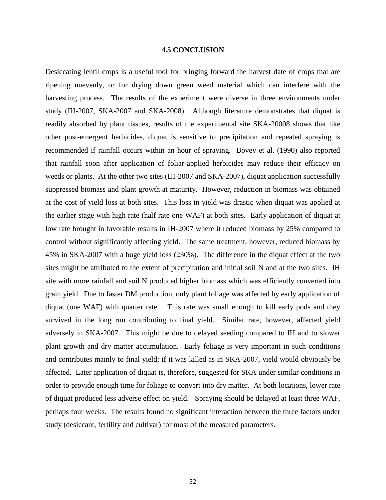#### **4.5 CONCLUSION**

Desiccating lentil crops is a useful tool for bringing forward the harvest date of crops that are ripening unevenly, or for drying down green weed material which can interfere with the harvesting process. The results of the experiment were diverse in three environments under study (IH-2007, SKA-2007 and SKA-2008). Although literature demonstrates that diquat is readily absorbed by plant tissues, results of the experimental site SKA-20008 shows that like other post-emergent herbicides, diquat is sensitive to precipitation and repeated spraying is recommended if rainfall occurs within an hour of spraying. Bovey et al. (1990) also reported that rainfall soon after application of foliar-applied herbicides may reduce their efficacy on weeds or plants. At the other two sites (IH-2007 and SKA-2007), diquat application successfully suppressed biomass and plant growth at maturity. However, reduction in biomass was obtained at the cost of yield loss at both sites. This loss in yield was drastic when diquat was applied at the earlier stage with high rate (half rate one WAF) at both sites. Early application of diquat at low rate brought in favorable results in IH-2007 where it reduced biomass by 25% compared to control without significantly affecting yield. The same treatment, however, reduced biomass by 45% in SKA-2007 with a huge yield loss (230%). The difference in the diquat effect at the two sites might be attributed to the extent of precipitation and initial soil N and at the two sites. IH site with more rainfall and soil N produced higher biomass which was efficiently converted into grain yield. Due to faster DM production, only plant foliage was affected by early application of diquat (one WAF) with quarter rate. This rate was small enough to kill early pods and they survived in the long run contributing to final yield. Similar rate, however, affected yield adversely in SKA-2007. This might be due to delayed seeding compared to IH and to slower plant growth and dry matter accumulation. Early foliage is very important in such conditions and contributes mainly to final yield; if it was killed as in SKA-2007, yield would obviously be affected. Later application of diquat is, therefore, suggested for SKA under similar conditions in order to provide enough time for foliage to convert into dry matter. At both locations, lower rate of diquat produced less adverse effect on yield. Spraying should be delayed at least three WAF, perhaps four weeks. The results found no significant interaction between the three factors under study (desiccant, fertility and cultivar) for most of the measured parameters.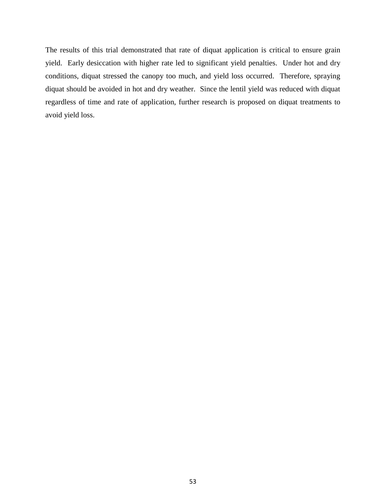The results of this trial demonstrated that rate of diquat application is critical to ensure grain yield. Early desiccation with higher rate led to significant yield penalties. Under hot and dry conditions, diquat stressed the canopy too much, and yield loss occurred. Therefore, spraying diquat should be avoided in hot and dry weather. Since the lentil yield was reduced with diquat regardless of time and rate of application, further research is proposed on diquat treatments to avoid yield loss.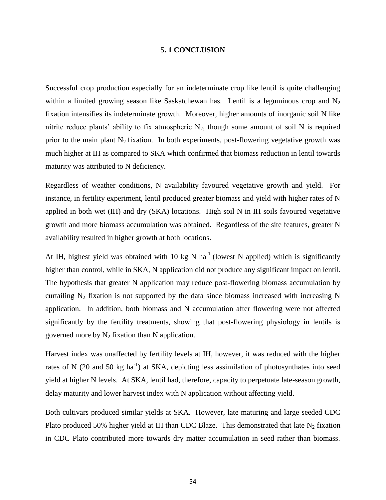# **5. 1 CONCLUSION**

Successful crop production especially for an indeterminate crop like lentil is quite challenging within a limited growing season like Saskatchewan has. Lentil is a leguminous crop and  $N_2$ fixation intensifies its indeterminate growth. Moreover, higher amounts of inorganic soil N like nitrite reduce plants' ability to fix atmospheric  $N_2$ , though some amount of soil N is required prior to the main plant  $N_2$  fixation. In both experiments, post-flowering vegetative growth was much higher at IH as compared to SKA which confirmed that biomass reduction in lentil towards maturity was attributed to N deficiency.

Regardless of weather conditions, N availability favoured vegetative growth and yield. For instance, in fertility experiment, lentil produced greater biomass and yield with higher rates of N applied in both wet (IH) and dry (SKA) locations. High soil N in IH soils favoured vegetative growth and more biomass accumulation was obtained. Regardless of the site features, greater N availability resulted in higher growth at both locations.

At IH, highest yield was obtained with 10 kg N ha<sup>-1</sup> (lowest N applied) which is significantly higher than control, while in SKA, N application did not produce any significant impact on lentil. The hypothesis that greater N application may reduce post-flowering biomass accumulation by curtailing  $N_2$  fixation is not supported by the data since biomass increased with increasing N application. In addition, both biomass and N accumulation after flowering were not affected significantly by the fertility treatments, showing that post-flowering physiology in lentils is governed more by  $N_2$  fixation than N application.

Harvest index was unaffected by fertility levels at IH, however, it was reduced with the higher rates of N  $(20 \text{ and } 50 \text{ kg ha}^{-1})$  at SKA, depicting less assimilation of photosynthates into seed yield at higher N levels. At SKA, lentil had, therefore, capacity to perpetuate late-season growth, delay maturity and lower harvest index with N application without affecting yield.

Both cultivars produced similar yields at SKA. However, late maturing and large seeded CDC Plato produced 50% higher yield at IH than CDC Blaze. This demonstrated that late  $N_2$  fixation in CDC Plato contributed more towards dry matter accumulation in seed rather than biomass.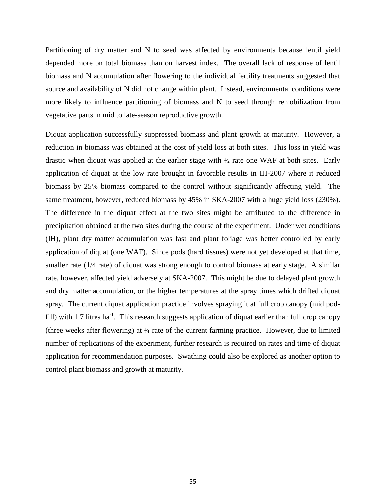Partitioning of dry matter and N to seed was affected by environments because lentil yield depended more on total biomass than on harvest index. The overall lack of response of lentil biomass and N accumulation after flowering to the individual fertility treatments suggested that source and availability of N did not change within plant. Instead, environmental conditions were more likely to influence partitioning of biomass and N to seed through remobilization from vegetative parts in mid to late-season reproductive growth.

Diquat application successfully suppressed biomass and plant growth at maturity. However, a reduction in biomass was obtained at the cost of yield loss at both sites. This loss in yield was drastic when diquat was applied at the earlier stage with ½ rate one WAF at both sites. Early application of diquat at the low rate brought in favorable results in IH-2007 where it reduced biomass by 25% biomass compared to the control without significantly affecting yield. The same treatment, however, reduced biomass by 45% in SKA-2007 with a huge yield loss (230%). The difference in the diquat effect at the two sites might be attributed to the difference in precipitation obtained at the two sites during the course of the experiment. Under wet conditions (IH), plant dry matter accumulation was fast and plant foliage was better controlled by early application of diquat (one WAF). Since pods (hard tissues) were not yet developed at that time, smaller rate (1/4 rate) of diquat was strong enough to control biomass at early stage. A similar rate, however, affected yield adversely at SKA-2007. This might be due to delayed plant growth and dry matter accumulation, or the higher temperatures at the spray times which drifted diquat spray. The current diquat application practice involves spraying it at full crop canopy (mid podfill) with 1.7 litres ha<sup>-1</sup>. This research suggests application of diquat earlier than full crop canopy (three weeks after flowering) at ¼ rate of the current farming practice. However, due to limited number of replications of the experiment, further research is required on rates and time of diquat application for recommendation purposes. Swathing could also be explored as another option to control plant biomass and growth at maturity.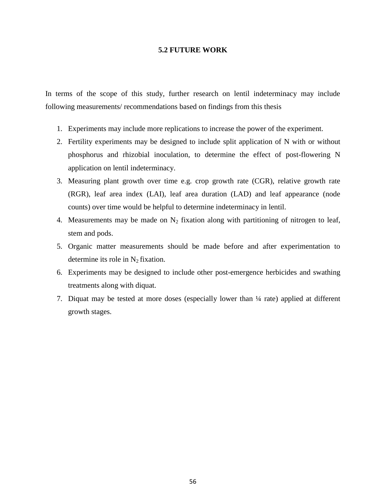## **5.2 FUTURE WORK**

In terms of the scope of this study, further research on lentil indeterminacy may include following measurements/ recommendations based on findings from this thesis

- 1. Experiments may include more replications to increase the power of the experiment.
- 2. Fertility experiments may be designed to include split application of N with or without phosphorus and rhizobial inoculation, to determine the effect of post-flowering N application on lentil indeterminacy.
- 3. Measuring plant growth over time e.g. crop growth rate (CGR), relative growth rate (RGR), leaf area index (LAI), leaf area duration (LAD) and leaf appearance (node counts) over time would be helpful to determine indeterminacy in lentil.
- 4. Measurements may be made on  $N_2$  fixation along with partitioning of nitrogen to leaf, stem and pods.
- 5. Organic matter measurements should be made before and after experimentation to determine its role in  $N_2$  fixation.
- 6. Experiments may be designed to include other post-emergence herbicides and swathing treatments along with diquat.
- 7. Diquat may be tested at more doses (especially lower than ¼ rate) applied at different growth stages.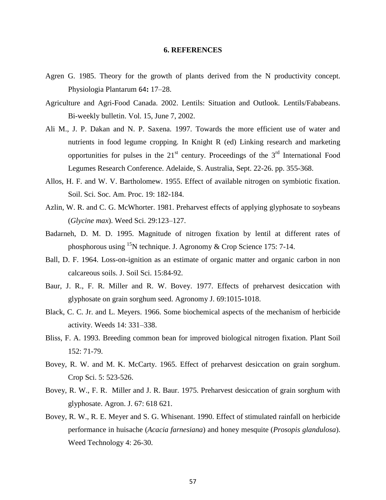### **6. REFERENCES**

- Agren G. 1985. Theory for the growth of plants derived from the N productivity concept. Physiologia Plantarum 64**:** 17*–*28.
- Agriculture and Agri-Food Canada. 2002. Lentils: Situation and Outlook. Lentils/Fababeans. Bi-weekly bulletin. Vol. 15, June 7, 2002.
- Ali M., J. P. Dakan and N. P. Saxena. 1997. Towards the more efficient use of water and nutrients in food legume cropping. In Knight R (ed) Linking research and marketing opportunities for pulses in the  $21<sup>st</sup>$  century. Proceedings of the  $3<sup>rd</sup>$  International Food Legumes Research Conference. Adelaide, S. Australia, Sept. 22-26. pp. 355-368.
- Allos, H. F. and W. V. Bartholomew. 1955. Effect of available nitrogen on symbiotic fixation. Soil. Sci. Soc. Am. Proc. 19: 182-184.
- Azlin, W. R. and C. G. McWhorter. 1981. Preharvest effects of applying glyphosate to soybeans (*Glycine max*). Weed Sci. 29:123–127.
- Badarneh, D. M. D. 1995. Magnitude of nitrogen fixation by lentil at different rates of phosphorous using <sup>15</sup>N technique. J. Agronomy & Crop Science 175: 7-14.
- Ball, D. F. 1964. Loss-on-ignition as an estimate of organic matter and organic carbon in non calcareous soils. J. Soil Sci. 15:84-92.
- Baur, J. R., F. R. Miller and R. W. Bovey. 1977. Effects of preharvest desiccation with glyphosate on grain sorghum seed. Agronomy J. 69:1015-1018.
- Black, C. C. Jr. and L. Meyers. 1966. Some biochemical aspects of the mechanism of herbicide activity. Weeds 14: 331–338.
- Bliss, F. A. 1993. Breeding common bean for improved biological nitrogen fixation. Plant Soil 152: 71-79.
- Bovey, R. W. and M. K. McCarty. 1965. Effect of preharvest desiccation on grain sorghum. Crop Sci. 5: 523-526.
- Bovey, R. W., F. R. Miller and J. R. Baur. 1975. Preharvest desiccation of grain sorghum with glyphosate. Agron. J. 67: 618 621.
- Bovey, R. W., R. E. Meyer and S. G. Whisenant. 1990. Effect of stimulated rainfall on herbicide performance in huisache (*Acacia farnesiana*) and honey mesquite (*Prosopis glandulosa*). Weed Technology 4: 26-30.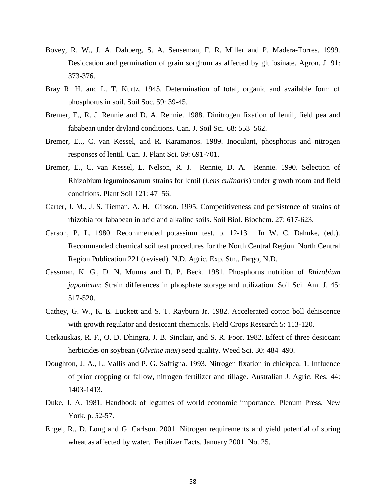- Bovey, R. W., J. A. Dahberg, S. A. Senseman, F. R. Miller and P. Madera-Torres. 1999. Desiccation and germination of grain sorghum as affected by glufosinate. Agron. J. 91: 373-376.
- Bray R. H. and L. T. Kurtz. 1945. Determination of total, organic and available form of phosphorus in soil. Soil Soc. 59: 39-45.
- Bremer, E., R. J. Rennie and D. A. Rennie. 1988. Dinitrogen fixation of lentil, field pea and fababean under dryland conditions. Can. J. Soil Sci. 68: 553–562.
- Bremer, E.., C. van Kessel, and R. Karamanos. 1989. Inoculant, phosphorus and nitrogen responses of lentil. Can. J. Plant Sci. 69: 691-701.
- Bremer, E., C. van Kessel, L. Nelson, R. J. Rennie, D. A. Rennie. 1990. Selection of Rhizobium leguminosarum strains for lentil (*Lens culinaris*) under growth room and field conditions. Plant Soil 121: 47–56.
- Carter, J. M., J. S. Tieman, A. H. Gibson. 1995. Competitiveness and persistence of strains of rhizobia for fababean in acid and alkaline soils. Soil Biol. Biochem. 27: 617-623.
- Carson, P. L. 1980. Recommended potassium test. p. 12-13. In W. C. Dahnke, (ed.). Recommended chemical soil test procedures for the North Central Region. North Central Region Publication 221 (revised). N.D. Agric. Exp. Stn., Fargo, N.D.
- Cassman, K. G., D. N. Munns and D. P. Beck. 1981. Phosphorus nutrition of *Rhizobium japonicum*: Strain differences in phosphate storage and utilization. Soil Sci. Am. J. 45: 517-520.
- Cathey, G. W., K. E. Luckett and S. T. Rayburn Jr. 1982. Accelerated cotton boll dehiscence with growth regulator and desiccant chemicals. Field Crops Research 5: 113-120.
- Cerkauskas, R. F., O. D. Dhingra, J. B. Sinclair, and S. R. Foor. 1982. Effect of three desiccant herbicides on soybean (*Glycine max*) seed quality. Weed Sci. 30: 484–490.
- Doughton, J. A., L. Vallis and P. G. Saffigna. 1993. Nitrogen fixation in chickpea. 1. Influence of prior cropping or fallow, nitrogen fertilizer and tillage. Australian J. Agric. Res. 44: 1403-1413.
- Duke, J. A. 1981. Handbook of legumes of world economic importance. Plenum Press, New York. p. 52-57.
- Engel, R., D. Long and G. Carlson. 2001. Nitrogen requirements and yield potential of spring wheat as affected by water. Fertilizer Facts. January 2001. No. 25.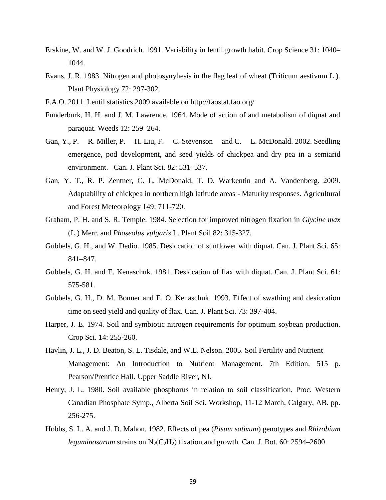- Erskine, W. and W. J. Goodrich. 1991. Variability in lentil growth habit. Crop Science 31: 1040– 1044.
- Evans, J. R. 1983. Nitrogen and photosynyhesis in the flag leaf of wheat (Triticum aestivum L.). Plant Physiology 72: 297-302.
- F.A.O. 2011. Lentil statistics 2009 available on http://faostat.fao.org/
- Funderburk, H. H. and J. M. Lawrence. 1964. Mode of action of and metabolism of diquat and paraquat. Weeds 12: 259–264.
- Gan, Y., P. R. Miller, P. H. Liu, F. C. Stevenson and C. L. McDonald. 2002. Seedling emergence, pod development, and seed yields of chickpea and dry pea in a semiarid environment. Can. J. Plant Sci. 82: 531–537.
- Gan, Y. T., R. P. Zentner, C. L. McDonald, T. D. Warkentin and A. Vandenberg. 2009. Adaptability of chickpea in northern high latitude areas - Maturity responses. Agricultural and Forest Meteorology 149: 711-720.
- Graham, P. H. and S. R. Temple. 1984. Selection for improved nitrogen fixation in *Glycine max* (L.) Merr. and *Phaseolus vulgaris* L. Plant Soil 82: 315-327.
- Gubbels, G. H., and W. Dedio. 1985. Desiccation of sunflower with diquat. Can. J. Plant Sci. 65: 841–847.
- Gubbels, G. H. and E. Kenaschuk. 1981. Desiccation of flax with diquat. Can. J. Plant Sci. 61: 575-581.
- Gubbels, G. H., D. M. Bonner and E. O. Kenaschuk. 1993. Effect of swathing and desiccation time on seed yield and quality of flax. Can. J. Plant Sci. 73: 397-404.
- Harper, J. E. 1974. Soil and symbiotic nitrogen requirements for optimum soybean production. Crop Sci. 14: 255-260.
- Havlin, J. L., J. D. Beaton, S. L. Tisdale, and W.L. Nelson. 2005. Soil Fertility and Nutrient Management: An Introduction to Nutrient Management. 7th Edition. 515 p. Pearson/Prentice Hall. Upper Saddle River, NJ.
- Henry, J. L. 1980. Soil available phosphorus in relation to soil classification. Proc. Western Canadian Phosphate Symp., Alberta Soil Sci. Workshop, 11-12 March, Calgary, AB. pp. 256-275.
- Hobbs, S. L. A. and J. D. Mahon. 1982. Effects of pea (*Pisum sativum*) genotypes and *Rhizobium leguminosarum* strains on  $N_2(C_2H_2)$  fixation and growth. Can. J. Bot. 60: 2594–2600.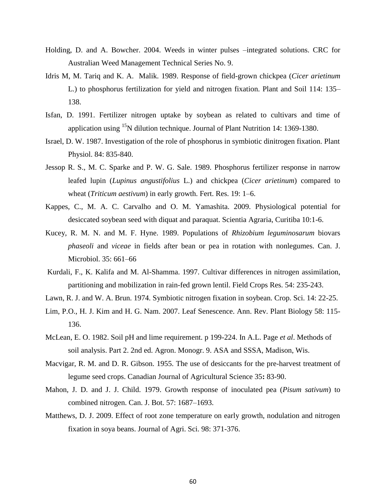- Holding, D. and A. Bowcher. 2004. Weeds in winter pulses –integrated solutions. CRC for Australian Weed Management Technical Series No. 9.
- Idris M, M. Tariq and K. A. Malik. 1989. Response of field-grown chickpea (*Cicer arietinum*  L.) to phosphorus fertilization for yield and nitrogen fixation. Plant and Soil 114: 135– 138.
- Isfan, D. 1991. Fertilizer nitrogen uptake by soybean as related to cultivars and time of application using  $15N$  dilution technique. Journal of Plant Nutrition 14: 1369-1380.
- Israel, D. W. 1987. Investigation of the role of phosphorus in symbiotic dinitrogen fixation. Plant Physiol. 84: 835-840.
- Jessop R. S., M. C. Sparke and P. W. G. Sale. 1989. Phosphorus fertilizer response in narrow leafed lupin (*Lupinus angustifolius* L.) and chickpea (*Cicer arietinum*) compared to wheat (*Triticum aestivum*) in early growth. Fert. Res. 19: 1–6.
- Kappes, C., M. A. C. Carvalho and O. M. Yamashita. 2009. Physiological potential for desiccated soybean seed with diquat and paraquat. Scientia Agraria, Curitiba 10:1-6.
- Kucey, R. M. N. and M. F. Hyne. 1989. Populations of *Rhizobium leguminosarum* biovars *phaseoli* and *viceae* in fields after bean or pea in rotation with nonlegumes. Can. J. Microbiol. 35: 661–66
- Kurdali, F., K. Kalifa and M. Al-Shamma. 1997. Cultivar differences in nitrogen assimilation, partitioning and mobilization in rain-fed grown lentil. Field Crops Res. 54: 235-243.
- Lawn, R. J. and W. A. Brun. 1974. Symbiotic nitrogen fixation in soybean. Crop. Sci. 14: 22-25.
- Lim, P.O., H. J. Kim and H. G. Nam. 2007. Leaf Senescence. Ann. Rev. Plant Biology 58: 115- 136.
- McLean, E. O. 1982. Soil pH and lime requirement. p 199-224. In A.L. Page *et al*. Methods of soil analysis. Part 2. 2nd ed. Agron. Monogr. 9. ASA and SSSA, Madison, Wis.
- Macvigar, R. M. and D. R. Gibson. 1955. The use of desiccants for the pre-harvest treatment of legume seed crops. Canadian Journal of Agricultural Science 35**:** 83-90.
- Mahon, J. D. and J. J. Child. 1979. Growth response of inoculated pea (*Pisum sativum*) to combined nitrogen. Can. J. Bot. 57: 1687–1693.
- Matthews, D. J. 2009. Effect of root zone temperature on early growth, nodulation and nitrogen fixation in soya beans. Journal of Agri. Sci. 98: 371-376.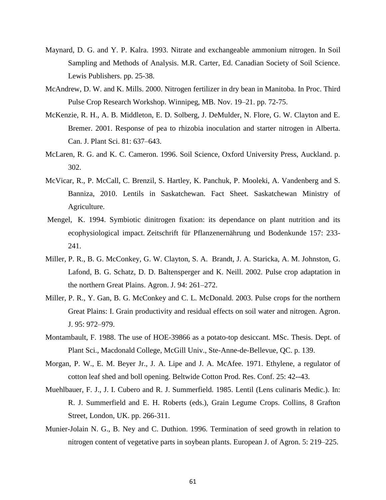- Maynard, D. G. and Y. P. Kalra. 1993. Nitrate and exchangeable ammonium nitrogen. In Soil Sampling and Methods of Analysis. M.R. Carter, Ed. Canadian Society of Soil Science. Lewis Publishers. pp. 25-38.
- McAndrew, D. W. and K. Mills. 2000. Nitrogen fertilizer in dry bean in Manitoba. In Proc. Third Pulse Crop Research Workshop. Winnipeg, MB. Nov. 19–21. pp. 72-75.
- McKenzie, R. H., A. B. Middleton, E. D. Solberg, J. DeMulder, N. Flore, G. W. Clayton and E. Bremer. 2001. Response of pea to rhizobia inoculation and starter nitrogen in Alberta. Can. J. Plant Sci. 81: 637–643.
- McLaren, R. G. and K. C. Cameron. 1996. Soil Science, Oxford University Press, Auckland. p. 302.
- McVicar, R., P. McCall, C. Brenzil, S. Hartley, K. Panchuk, P. Mooleki, A. Vandenberg and S. Banniza, 2010. Lentils in Saskatchewan. Fact Sheet. Saskatchewan Ministry of Agriculture.
- Mengel, K. 1994. Symbiotic dinitrogen fixation: its dependance on plant nutrition and its ecophysiological impact. Zeitschrift für Pflanzenernährung und Bodenkunde 157: 233- 241.
- Miller, P. R., B. G. McConkey, G. W. Clayton, S. A. Brandt, J. A. Staricka, A. M. Johnston, G. Lafond, B. G. Schatz, D. D. Baltensperger and K. Neill. 2002. Pulse crop adaptation in the northern Great Plains. Agron. J. 94: 261–272.
- Miller, P. R., Y. Gan, B. G. McConkey and C. L. McDonald. 2003. Pulse crops for the northern Great Plains: I. Grain productivity and residual effects on soil water and nitrogen. Agron. J. 95: 972–979.
- Montambault, F. 1988. The use of HOE-39866 as a potato-top desiccant. MSc. Thesis. Dept. of Plant Sci., Macdonald College, McGill Univ., Ste-Anne-de-Bellevue, QC. p. 139.
- Morgan, P. W., E. M. Beyer Jr., J. A. Lipe and J. A. McAfee. 1971. Ethylene, a regulator of cotton leaf shed and boll opening. Beltwide Cotton Prod. Res. Conf. 25: 42--43.
- Muehlbauer, F. J., J. I. Cubero and R. J. Summerfield. 1985. Lentil (Lens culinaris Medic.). In: R. J. Summerfield and E. H. Roberts (eds.), Grain Legume Crops. Collins, 8 Grafton Street, London, UK. pp. 266-311.
- Munier-Jolain N. G., B. Ney and C. Duthion. 1996. Termination of seed growth in relation to nitrogen content of vegetative parts in soybean plants. European J. of Agron. 5: 219–225.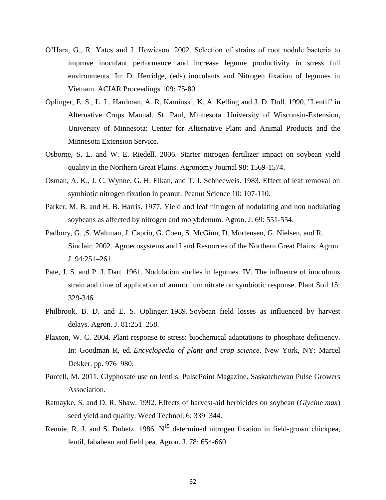- O'Hara, G., R. Yates and J. Howieson. 2002. Selection of strains of root nodule bacteria to improve inoculant performance and increase legume productivity in stress full environments. In: D. Herridge, (eds) inoculants and Nitrogen fixation of legumes in Vietnam. ACIAR Proceedings 109: 75-80.
- Oplinger, E. S., L. L. Hardman, A. R. Kaminski, K. A. Kelling and J. D. Doll. 1990. "Lentil" in Alternative Crops Manual. St. Paul, Minnesota. University of Wisconsin-Extension, University of Minnesota: Center for Alternative Plant and Animal Products and the Minnesota Extension Service.
- Osborne, S. L. and W. E. Riedell. 2006. Starter nitrogen fertilizer impact on soybean yield quality in the Northern Great Plains. Agronomy Journal 98: 1569-1574.
- Osman, A. K., J. C. Wynne, G. H. Elkan, and T. J. Schneeweis. 1983. Effect of leaf removal on symbiotic nitrogen fixation in peanut. Peanut Science 10: 107-110.
- Parker, M. B. and H. B. Harris. 1977. Yield and leaf nitrogen of nodulating and non nodulating soybeans as affected by nitrogen and molybdenum. Agron. J. 69: 551-554.
- Padbury, G. ,S. Waltman, J. Caprio, G. Coen, S. McGinn, D. Mortensen, G. Nielsen, and R. Sinclair. 2002. Agroecosystems and Land Resources of the Northern Great Plains. Agron. J. 94:251–261.
- Pate, J. S. and P. J. Dart. 1961. Nodulation studies in legumes. IV. The influence of inoculums strain and time of application of ammonium nitrate on symbiotic response. Plant Soil 15: 329-346.
- Philbrook, B. D. and E. S. Oplinger. 1989. Soybean field losses as influenced by harvest delays. Agron. J. 81:251–258.
- Plaxton, W. C. 2004. Plant response to stress: biochemical adaptations to phosphate deficiency. In: Goodman R, ed. *Encyclopedia of plant and crop science*. New York, NY: Marcel Dekker. pp. 976–980.
- Purcell, M. 2011. Glyphosate use on lentils. PulsePoint Magazine. Saskatchewan Pulse Growers Association.
- Ratnayke, S. and D. R. Shaw. 1992. Effects of harvest-aid herbicides on soybean (*Glycine max*) seed yield and quality. Weed Technol. 6: 339–344.
- Rennie, R. J. and S. Dubetz. 1986.  $N^{15}$  determined nitrogen fixation in field-grown chickpea, lentil, fababean and field pea. Agron. J. 78: 654-660.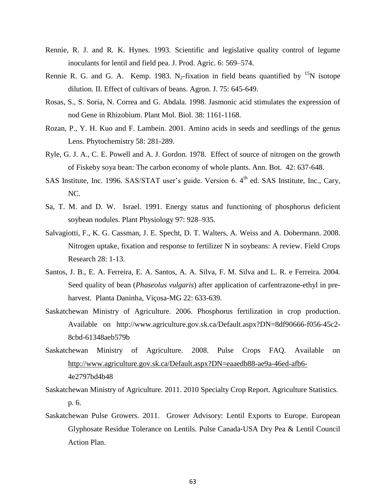- Rennie, R. J. and R. K. Hynes. 1993. Scientific and legislative quality control of legume inoculants for lentil and field pea. J. Prod. Agric. 6: 569–574.
- Rennie R. G. and G. A. Kemp. 1983. N<sub>2</sub>-fixation in field beans quantified by <sup>15</sup>N isotope dilution. II. Effect of cultivars of beans. Agron. J. 75: 645-649.
- Rosas, S., S. Soria, N. Correa and G. Abdala. 1998. Jasmonic acid stimulates the expression of nod Gene in Rhizobium. Plant Mol. Biol. 38: 1161-1168.
- Rozan, P., Y. H. Kuo and F. Lambein. 2001. Amino acids in seeds and seedlings of the genus Lens. Phytochemistry 58: 281-289.
- Ryle, G. J. A., C. E. Powell and A. J. Gordon. 1978. Effect of source of nitrogen on the growth of Fiskeby soya bean: The carbon economy of whole plants. Ann. Bot. 42: 637-648.
- SAS Institute, Inc. 1996. SAS/STAT user's guide. Version 6. 4<sup>th</sup> ed. SAS Institute, Inc., Cary, NC.
- Sa, T. M. and D. W. Israel. 1991. Energy status and functioning of phosphorus deficient soybean nodules. Plant Physiology 97: 928–935.
- Salvagiotti, F., K. G. Cassman, J. E. Specht, D. T. Walters, A. Weiss and A. Dobermann. 2008. Nitrogen uptake, fixation and response to fertilizer N in soybeans: A review. Field Crops Research 28: 1-13.
- Santos, J. B., E. A. Ferreira, E. A. Santos, A. A. Silva, F. M. Silva and L. R. e Ferreira. 2004. Seed quality of bean (*Phaseolus vulgaris*) after application of carfentrazone-ethyl in preharvest. Planta Daninha, Viçosa-MG 22: 633-639.
- Saskatchewan Ministry of Agriculture. 2006. Phosphorus fertilization in crop production. Available on http://www.agriculture.gov.sk.ca/Default.aspx?DN=8df90666-f056-45c2- 8cbd-61348aeb579b
- Saskatchewan Ministry of Agriculture. 2008. Pulse Crops FAQ. Available on <http://www.agriculture.gov.sk.ca/Default.aspx?DN=eaaedb88-ae9a-46ed-afb6-> 4e2797bd4b48
- Saskatchewan Ministry of Agriculture. 2011. 2010 Specialty Crop Report. Agriculture Statistics. p. 6.
- Saskatchewan Pulse Growers. 2011. Grower Advisory: Lentil Exports to Europe. European Glyphosate Residue Tolerance on Lentils. Pulse Canada‐USA Dry Pea & Lentil Council Action Plan.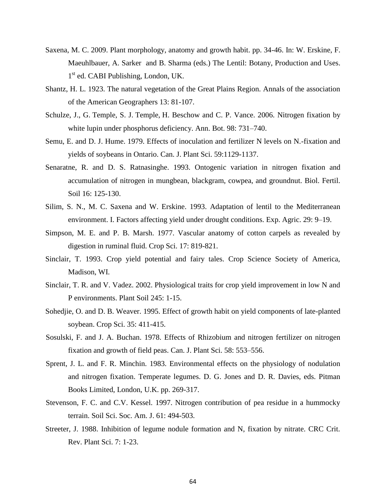- Saxena, M. C. 2009. Plant morphology, anatomy and growth habit. pp. 34-46. In: W. Erskine, F. Maeuhlbauer, A. Sarker and B. Sharma (eds.) The Lentil: Botany, Production and Uses. 1<sup>st</sup> ed. CABI Publishing, London, UK.
- Shantz, H. L. 1923. The natural vegetation of the Great Plains Region. Annals of the association of the American Geographers 13: 81-107.
- Schulze, J., G. Temple, S. J. Temple, H. Beschow and C. P. Vance. 2006. Nitrogen fixation by white lupin under phosphorus deficiency. Ann. Bot. 98: 731–740.
- Semu, E. and D. J. Hume. 1979. Effects of inoculation and fertilizer N levels on N.-fixation and yields of soybeans in Ontario. Can. J. Plant Sci. 59:1129-1137.
- Senaratne, R. and D. S. Ratnasinghe. 1993. Ontogenic variation in nitrogen fixation and accumulation of nitrogen in mungbean, blackgram, cowpea, and groundnut. Biol. Fertil. Soil 16: 125-130.
- Silim, S. N., M. C. Saxena and W. Erskine. 1993. Adaptation of lentil to the Mediterranean environment. I. Factors affecting yield under drought conditions. Exp. Agric. 29: 9–19.
- Simpson, M. E. and P. B. Marsh. 1977. Vascular anatomy of cotton carpels as revealed by digestion in ruminal fluid. Crop Sci. 17: 819-821.
- Sinclair, T. 1993. Crop yield potential and fairy tales. Crop Science Society of America, Madison, WI.
- Sinclair, T. R. and V. Vadez. 2002. Physiological traits for crop yield improvement in low N and P environments. Plant Soil 245: 1-15.
- Sohedjie, O. and D. B. Weaver. 1995. Effect of growth habit on yield components of late-planted soybean. Crop Sci. 35: 411-415.
- Sosulski, F. and J. A. Buchan. 1978. Effects of Rhizobium and nitrogen fertilizer on nitrogen fixation and growth of field peas. Can. J. Plant Sci. 58: 553–556.
- Sprent, J. L. and F. R. Minchin. 1983. Environmental effects on the physiology of nodulation and nitrogen fixation. Temperate legumes. D. G. Jones and D. R. Davies, eds. Pitman Books Limited, London, U.K. pp. 269-317.
- Stevenson, F. C. and C.V. Kessel. 1997. Nitrogen contribution of pea residue in a hummocky terrain. Soil Sci. Soc. Am. J. 61: 494-503.
- Streeter, J. 1988. Inhibition of legume nodule formation and N, fixation by nitrate. CRC Crit. Rev. Plant Sci. 7: 1-23.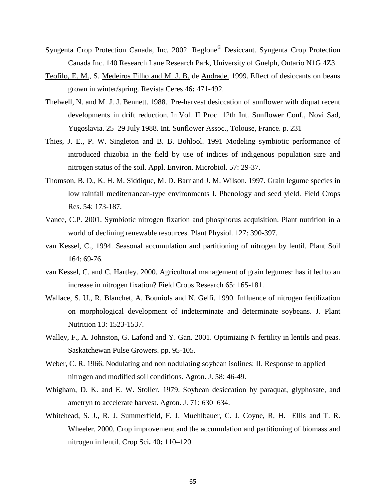- Syngenta Crop Protection Canada, Inc. 2002. Reglone® Desiccant. Syngenta Crop Protection Canada Inc. 140 Research Lane Research Park, University of Guelph, Ontario N1G 4Z3.
- [Teofilo, E. M.,](http://apps.isiknowledge.com.cyber.usask.ca/OneClickSearch.do?product=CABI&search_mode=OneClickSearch&db_id=&SID=2E7gO3bKpD3aClj6gk1&field=AU&value=Teofilo,%20E.%20M.&ut=20000705055&pos=1) S. [Medeiros Filho and M. J. B.](http://apps.isiknowledge.com.cyber.usask.ca/OneClickSearch.do?product=CABI&search_mode=OneClickSearch&db_id=&SID=2E7gO3bKpD3aClj6gk1&field=AU&value=Medeiros%20Filho,%20S.&ut=20000705055&pos=1) de [Andrade.](http://apps.isiknowledge.com.cyber.usask.ca/OneClickSearch.do?product=CABI&search_mode=OneClickSearch&db_id=&SID=2E7gO3bKpD3aClj6gk1&field=AU&value=Andrade,%20M.%20J.%20B.%20de&ut=20000705055&pos=1) 1999. Effect of desiccants on beans grown in winter/spring. Revista Ceres 46**:** 471-492.
- Thelwell, N. and M. J. J. Bennett. 1988. Pre-harvest desiccation of sunflower with diquat recent developments in drift reduction. In Vol. II Proc. 12th Int. Sunflower Conf., Novi Sad, Yugoslavia. 25–29 July 1988. Int. Sunflower Assoc., Tolouse, France. p. 231
- Thies, J. E., P. W. Singleton and B. B. Bohlool. 1991 Modeling symbiotic performance of introduced rhizobia in the field by use of indices of indigenous population size and nitrogen status of the soil. Appl. Environ. Microbiol. 57: 29-37.
- Thomson, B. D., K. H. M. Siddique, M. D. Barr and J. M. Wilson. 1997. Grain legume species in low rainfall mediterranean-type environments I. Phenology and seed yield. Field Crops Res. 54: 173-187.
- Vance, C.P. 2001. Symbiotic nitrogen fixation and phosphorus acquisition. Plant nutrition in a world of declining renewable resources. Plant Physiol. 127: 390-397.
- van Kessel, C., 1994. Seasonal accumulation and partitioning of nitrogen by lentil. Plant Soil 164: 69-76.
- van Kessel, C. and C. Hartley. 2000. Agricultural management of grain legumes: has it led to an increase in nitrogen fixation? Field Crops Research 65: 165-181.
- Wallace, S. U., R. Blanchet, A. Bouniols and N. Gelfi. 1990. Influence of nitrogen fertilization on morphological development of indeterminate and determinate soybeans. J. Plant Nutrition 13: 1523-1537.
- Walley, F., A. Johnston, G. Lafond and Y. Gan. 2001. Optimizing N fertility in lentils and peas. Saskatchewan Pulse Growers. pp. 95-105.
- Weber, C. R. 1966. Nodulating and non nodulating soybean isolines: II. Response to applied nitrogen and modified soil conditions. Agron. J. 58: 46-49.
- Whigham, D. K. and E. W. Stoller. 1979. Soybean desiccation by paraquat, glyphosate, and ametryn to accelerate harvest. Agron. J. 71: 630–634.
- Whitehead, S. J., R. J. Summerfield, F. J. Muehlbauer, C. J. Coyne, R, H. Ellis and T. R. Wheeler. 2000. Crop improvement and the accumulation and partitioning of biomass and nitrogen in lentil. Crop Sci**.** 40**:** 110–120.